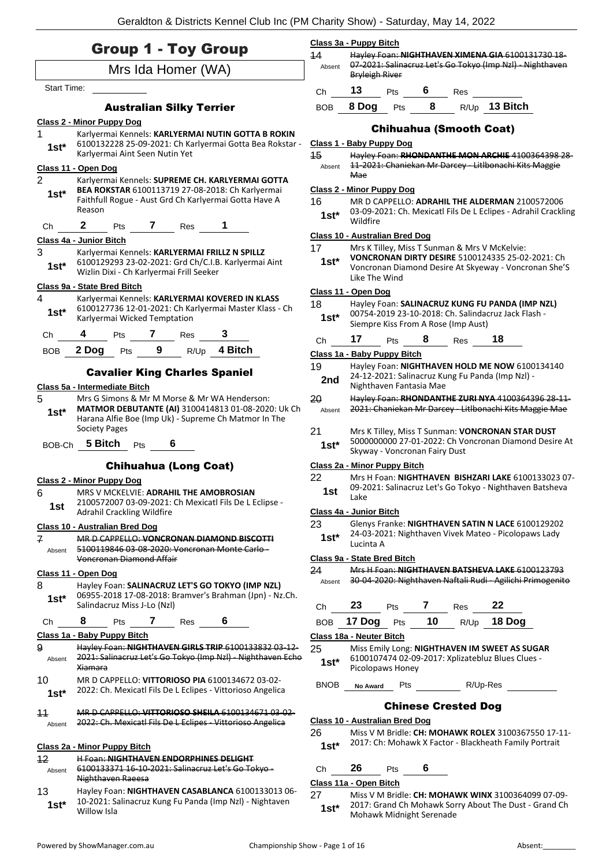|                    | <b>Group 1 - Toy Group</b>                                                                                                                                 | 14           | Class 3a - Puppy Bitch<br>Hayley Foan: NIGHTHAVEN XIMENA GIA 6100131730 18                                                                 |
|--------------------|------------------------------------------------------------------------------------------------------------------------------------------------------------|--------------|--------------------------------------------------------------------------------------------------------------------------------------------|
| Mrs Ida Homer (WA) |                                                                                                                                                            |              | 07-2021: Salinacruz Let's Go Tokyo (Imp Nzl) - Nighthaven<br>Absent<br><b>Bryleigh River</b>                                               |
| Start Time:        |                                                                                                                                                            | Ch           | 13<br>$6\qquad$<br>Pts<br>Res                                                                                                              |
|                    | <b>Australian Silky Terrier</b>                                                                                                                            | <b>BOB</b>   | 8<br>R/Up 13 Bitch<br>8 Dog<br><b>Pts</b>                                                                                                  |
|                    | <b>Class 2 - Minor Puppy Dog</b>                                                                                                                           |              |                                                                                                                                            |
| 1                  | Karlyermai Kennels: KARLYERMAI NUTIN GOTTA B ROKIN                                                                                                         |              | <b>Chihuahua (Smooth Coat)</b>                                                                                                             |
| $1st*$             | 6100132228 25-09-2021: Ch Karlyermai Gotta Bea Rokstar -<br>Karlyermai Aint Seen Nutin Yet                                                                 | 15           | Class 1 - Baby Puppy Dog<br>Hayley Foan: RHONDANTHE MON ARCHIE 4100364398 28-                                                              |
|                    | Class 11 - Open Dog                                                                                                                                        | Absent       | 11-2021: Chaniekan Mr Darcey - Litlbonachi Kits Maggie                                                                                     |
| 2                  | Karlyermai Kennels: SUPREME CH. KARLYERMAI GOTTA                                                                                                           |              | <b>Mae</b>                                                                                                                                 |
| $1st*$             | BEA ROKSTAR 6100113719 27-08-2018: Ch Karlyermai<br>Faithfull Rogue - Aust Grd Ch Karlyermai Gotta Have A                                                  | 16           | Class 2 - Minor Puppy Dog<br>MR D CAPPELLO: ADRAHIL THE ALDERMAN 2100572006                                                                |
|                    | Reason                                                                                                                                                     | $1st^*$      | 03-09-2021: Ch. Mexicatl Fils De L Eclipes - Adrahil Crackling                                                                             |
| Ch                 | Pts 7 Res<br>$\mathbf{2}$                                                                                                                                  |              | Wildfire                                                                                                                                   |
|                    | Class 4a - Junior Bitch                                                                                                                                    | 17           | Class 10 - Australian Bred Dog<br>Mrs K Tilley, Miss T Sunman & Mrs V McKelvie:                                                            |
| 3<br>$1st^*$       | Karlyermai Kennels: KARLYERMAI FRILLZ N SPILLZ<br>6100129293 23-02-2021: Grd Ch/C.I.B. Karlyermai Aint<br>Wizlin Dixi - Ch Karlyermai Frill Seeker         | $1st^*$      | VONCRONAN DIRTY DESIRE 5100124335 25-02-2021: Ch<br>Voncronan Diamond Desire At Skyeway - Voncronan She'S                                  |
|                    | Class 9a - State Bred Bitch                                                                                                                                |              | Like The Wind                                                                                                                              |
| 4                  | Karlyermai Kennels: KARLYERMAI KOVERED IN KLASS                                                                                                            | 18           | Class 11 - Open Dog<br>Hayley Foan: SALINACRUZ KUNG FU PANDA (IMP NZL)                                                                     |
| $1st*$             | 6100127736 12-01-2021: Ch Karlyermai Master Klass - Ch<br>Karlyermai Wicked Temptation                                                                     | $1st^*$      | 00754-2019 23-10-2018: Ch. Salindacruz Jack Flash -<br>Siempre Kiss From A Rose (Imp Aust)                                                 |
| Ch                 | 7 Res<br>4<br><b>Pts</b>                                                                                                                                   | Ch           | 17<br>8<br>18<br>Pts<br><b>Res</b>                                                                                                         |
| <b>BOB</b>         | 2 Dog Pts 9<br>R/Up 4 Bitch                                                                                                                                |              | Class 1a - Baby Puppy Bitch                                                                                                                |
|                    | <b>Cavalier King Charles Spaniel</b><br>Class 5a - Intermediate Bitch                                                                                      | 19<br>2nd    | Hayley Foan: NIGHTHAVEN HOLD ME NOW 6100134140<br>24-12-2021: Salinacruz Kung Fu Panda (Imp Nzl) -<br>Nighthaven Fantasia Mae              |
| 5<br>$1st*$        | Mrs G Simons & Mr M Morse & Mr WA Henderson:<br>MATMOR DEBUTANTE (AI) 3100414813 01-08-2020: Uk Ch<br>Harana Alfie Boe (Imp Uk) - Supreme Ch Matmor In The | 20<br>Absent | Hayley Foan: RHONDANTHE ZURI NYA 4100364396 28-11-<br>2021: Chaniekan Mr Darcey Litlbonachi Kits Maggie Mae                                |
|                    | <b>Society Pages</b><br>BOB-Ch 5 Bitch Pts<br>6                                                                                                            | 21<br>$1st*$ | Mrs K Tilley, Miss T Sunman: VONCRONAN STAR DUST<br>5000000000 27-01-2022: Ch Voncronan Diamond Desire At<br>Skyway - Voncronan Fairy Dust |
|                    | <b>Chihuahua (Long Coat)</b>                                                                                                                               |              | Class 2a - Minor Puppy Bitch                                                                                                               |
|                    | <b>Class 2 - Minor Puppy Dog</b>                                                                                                                           | 22           | Mrs H Foan: NIGHTHAVEN BISHZARI LAKE 6100133023 07-                                                                                        |
| 6                  | MRS V MCKELVIE: ADRAHIL THE AMOBROSIAN<br>2100572007 03-09-2021: Ch Mexicatl Fils De L Eclipse -                                                           | 1st          | 09-2021: Salinacruz Let's Go Tokyo - Nighthaven Batsheva<br>Lake                                                                           |
| 1st                | Adrahil Crackling Wildfire                                                                                                                                 |              | Class 4a - Junior Bitch                                                                                                                    |
| 7                  | Class 10 - Australian Bred Dog<br>MR D CAPPELLO: VONCRONAN DIAMOND BISCOTTI                                                                                | 23<br>$1st*$ | Glenys Franke: NIGHTHAVEN SATIN N LACE 6100129202<br>24-03-2021: Nighthaven Vivek Mateo - Picolopaws Lady<br>Lucinta A                     |
| Absent             | 5100119846 03-08-2020: Voncronan Monte Carlo -<br>Voncronan Diamond Affair                                                                                 |              | Class 9a - State Bred Bitch                                                                                                                |
|                    | Class 11 - Open Dog                                                                                                                                        | 24           | Mrs H Foan: NIGHTHAVEN BATSHEVA LAKE 6100123793                                                                                            |
| 8<br>$1st*$        | Hayley Foan: SALINACRUZ LET'S GO TOKYO (IMP NZL)<br>06955-2018 17-08-2018: Bramver's Brahman (Jpn) - Nz.Ch.                                                | Absent       | 30-04-2020: Nighthaven Naftali Rudi - Agilichi Primogenito                                                                                 |
|                    | Salindacruz Miss J-Lo (Nzl)                                                                                                                                | Ch           | 23<br>$Pts$ 7<br>Res                                                                                                                       |
| Ch                 | 8<br>Pts $\overline{7}$<br>Res                                                                                                                             | <b>BOB</b>   | 10<br>18 Dog<br>17 Dog<br>R/Up<br>Pts                                                                                                      |
|                    | Class 1a - Baby Puppy Bitch                                                                                                                                |              | Class 18a - Neuter Bitch                                                                                                                   |
| 9<br>Absent        | Hayley Foan: NIGHTHAVEN GIRLS TRIP 6100133832 03-12-<br>2021: Salinacruz Let's Go Tokyo (Imp Nzl) - Nighthaven Echo<br>Xiamara                             | 25<br>$1st*$ | Miss Emily Long: NIGHTHAVEN IM SWEET AS SUGAR<br>6100107474 02-09-2017: Xplizatebluz Blues Clues -<br>Picolopaws Honey                     |
| 10<br>$1st*$       | MR D CAPPELLO: VITTORIOSO PIA 6100134672 03-02-<br>2022: Ch. Mexicatl Fils De L Eclipes - Vittorioso Angelica                                              | <b>BNOB</b>  | R/Up-Res<br>Pts<br>No Award                                                                                                                |
|                    |                                                                                                                                                            |              | <b>Chinese Crested Dog</b>                                                                                                                 |
| 11<br>Absent       | MR D CAPPELLO: VITTORIOSO SHEILA 6100134671 03-02-<br>2022: Ch. Mexicatl Fils De L Eclipes Vittorioso Angelica                                             | 26           | <b>Class 10 - Australian Bred Dog</b><br>Miss V M Bridle: CH: MOHAWK ROLEX 3100367550 17-11-                                               |
|                    | Class 2a - Minor Puppy Bitch                                                                                                                               | $1st*$       | 2017: Ch: Mohawk X Factor - Blackheath Family Portrait                                                                                     |
| 12                 | <b>H Foan: NIGHTHAVEN ENDORPHINES DELIGHT</b>                                                                                                              |              |                                                                                                                                            |
| Absent             | 6100133371 16 10 2021: Salinacruz Let's Go Tokyo-<br>Nighthaven Raeesa                                                                                     | Ch           | 26<br>6<br>Pts                                                                                                                             |
| 13                 | Hayley Foan: NIGHTHAVEN CASABLANCA 6100133013 06-                                                                                                          | 27           | Class 11a - Open Bitch<br>Miss V M Bridle: CH: MOHAWK WINX 3100364099 07-09-                                                               |
| $1st*$             | 10-2021: Salinacruz Kung Fu Panda (Imp NzI) - Nightaven<br>Willow Isla                                                                                     | $1st*$       | 2017: Grand Ch Mohawk Sorry About The Dust - Grand Ch<br>Mohawk Midnight Serenade                                                          |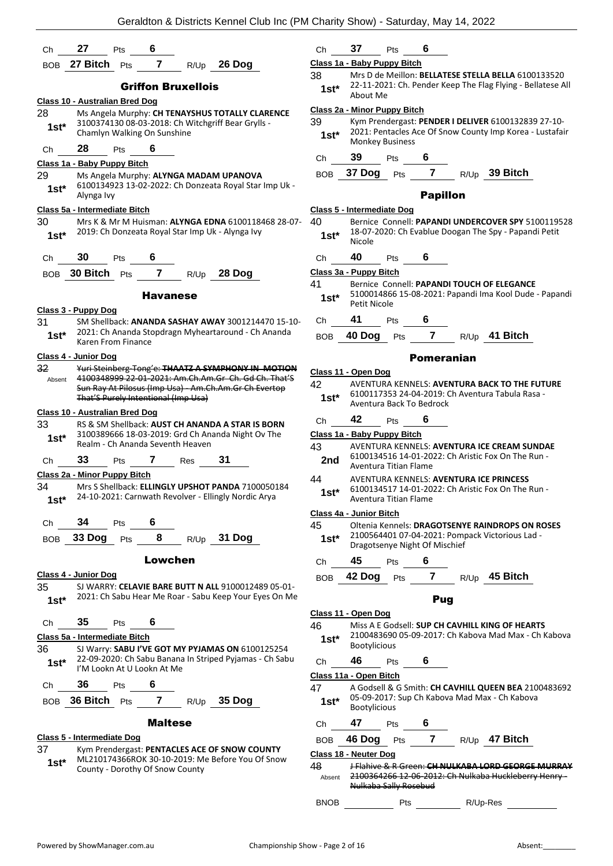| Ch          | 27<br>BOB 27 Bitch                    | Pts        | - 6<br>$\overline{7}$ |                                     | $R/Up$ 26 Dog                                                                                                    |  |
|-------------|---------------------------------------|------------|-----------------------|-------------------------------------|------------------------------------------------------------------------------------------------------------------|--|
|             |                                       | Pts        |                       |                                     |                                                                                                                  |  |
|             |                                       |            |                       | <b>Griffon Bruxellois</b>           |                                                                                                                  |  |
|             | Class 10 - Australian Bred Dog        |            |                       |                                     |                                                                                                                  |  |
| 28          |                                       |            |                       |                                     | Ms Angela Murphy: CH TENAYSHUS TOTALLY CLARENCE<br>3100374130 08-03-2018: Ch Witchgriff Bear Grylls -            |  |
| 1st*        | Chamlyn Walking On Sunshine           |            |                       |                                     |                                                                                                                  |  |
| Ch          | 28                                    | <b>Pts</b> | - 6                   |                                     |                                                                                                                  |  |
|             | <u> Class 1a - Baby Puppy Bitch</u>   |            |                       |                                     |                                                                                                                  |  |
| 29          |                                       |            |                       |                                     | Ms Angela Murphy: ALYNGA MADAM UPANOVA                                                                           |  |
| 1st*        | Alynga Ivy                            |            |                       |                                     | 6100134923 13-02-2022: Ch Donzeata Royal Star Imp Uk -                                                           |  |
|             | Class 5a - Intermediate Bitch         |            |                       |                                     |                                                                                                                  |  |
| 30          |                                       |            |                       |                                     | Mrs K & Mr M Huisman: ALYNGA EDNA 6100118468 28-07-                                                              |  |
| 1st*        |                                       |            |                       |                                     | 2019: Ch Donzeata Royal Star Imp Uk - Alynga Ivy                                                                 |  |
| Сh          | 30                                    | Pts        | 6                     |                                     |                                                                                                                  |  |
|             | BOB 30 Bitch Pts                      |            |                       |                                     | 7 R/Up 28 Dog                                                                                                    |  |
|             |                                       |            |                       |                                     |                                                                                                                  |  |
|             |                                       |            | <b>Havanese</b>       |                                     |                                                                                                                  |  |
| 31          | <u> Class 3 - Puppy Dog</u>           |            |                       |                                     | SM Shellback: ANANDA SASHAY AWAY 3001214470 15-10-                                                               |  |
| $1st^*$     | Karen From Finance                    |            |                       |                                     | 2021: Ch Ananda Stopdragn Myheartaround - Ch Ananda                                                              |  |
|             | Class 4 - Junior Dog                  |            |                       |                                     |                                                                                                                  |  |
| 32          |                                       |            |                       |                                     | Yuri Steinberg-Tong'e: THAATZ A SYMPHONY IN MOTION                                                               |  |
| Absent      |                                       |            |                       |                                     | 4100348999 22 01 2021: Am.Ch.Am.Gr Ch. Gd Ch. That'S<br>Sun Ray At Pilosus (Imp Usa) - Am.Ch.Am.Gr Ch Evertop    |  |
|             |                                       |            |                       | That'S Purely Intentional (Imp Usa) |                                                                                                                  |  |
|             | <b>Class 10 - Australian Bred Dog</b> |            |                       |                                     |                                                                                                                  |  |
| 33          |                                       |            |                       |                                     | RS & SM Shellback: AUST CH ANANDA A STAR IS BORN<br>3100389666 18-03-2019: Grd Ch Ananda Night Ov The            |  |
| $1st^*$     |                                       |            |                       | Realm - Ch Ananda Seventh Heaven    |                                                                                                                  |  |
| Ch          | 33                                    | Pts        | 7                     | Res                                 | 31                                                                                                               |  |
|             | Class 2a - Minor Puppy Bitch          |            |                       |                                     |                                                                                                                  |  |
| 34          |                                       |            |                       |                                     | Mrs S Shellback: ELLINGLY UPSHOT PANDA 7100050184                                                                |  |
|             |                                       |            |                       |                                     | 1st* 24-10-2021: Carnwath Revolver - Ellingly Nordic Arya                                                        |  |
| Ch          | $34$ Pts 6                            |            |                       |                                     |                                                                                                                  |  |
|             |                                       |            |                       |                                     | BOB 33 Dog Pts 8 R/Up 31 Dog                                                                                     |  |
|             |                                       |            | Lowchen               |                                     |                                                                                                                  |  |
|             | Class 4 - Junior Dog                  |            |                       |                                     |                                                                                                                  |  |
| 35          |                                       |            |                       |                                     | SJ WARRY: CELAVIE BARE BUTT N ALL 9100012489 05-01-                                                              |  |
| $1st^*$     |                                       |            |                       |                                     | 2021: Ch Sabu Hear Me Roar - Sabu Keep Your Eyes On Me                                                           |  |
|             | Ch 35 Pts 6                           |            |                       |                                     |                                                                                                                  |  |
|             | Class 5a - Intermediate Bitch         |            |                       |                                     |                                                                                                                  |  |
| 36          |                                       |            |                       |                                     | SJ Warry: SABU I'VE GOT MY PYJAMAS ON 6100125254<br>1st* 22-09-2020: Ch Sabu Banana In Striped Pyjamas - Ch Sabu |  |
|             | I'M Lookn At U Lookn At Me            |            |                       |                                     |                                                                                                                  |  |
|             | Ch 36 Pts 6                           |            |                       |                                     |                                                                                                                  |  |
|             |                                       |            |                       |                                     | BOB 36 Bitch Pts 7 R/Up 35 Dog                                                                                   |  |
|             |                                       |            | <b>Maltese</b>        |                                     |                                                                                                                  |  |
|             | Class 5 - Intermediate Dog            |            |                       |                                     |                                                                                                                  |  |
| 37          |                                       |            |                       |                                     | Kym Prendergast: PENTACLES ACE OF SNOW COUNTY                                                                    |  |
| $1$ st $^*$ | County - Dorothy Of Snow County       |            |                       |                                     | ML210174366ROK 30-10-2019: Me Before You Of Snow                                                                 |  |

| Ch | 37 | Pts | 6 |
|----|----|-----|---|
|    |    |     |   |

### **Class 1a - Baby Puppy Bitch**

38 Mrs D de Meillon: **BELLATESE STELLA BELLA** 6100133520 22-11-2021: Ch. Pender Keep The Flag Flying - Bellatese All About Me **1st\***

#### **Class 2a - Minor Puppy Bitch**

39 Kym Prendergast: **PENDER I DELIVER** 6100132839 27-10- 2021: Pentacles Ace Of Snow County Imp Korea - Lustafair Monkey Business **1st\***

Ch **39** Pts **6**

BOB **37 Dog** Pts **7** R/Up **39 Bitch**

#### Papillon

#### **Class 5 - Intermediate Dog**

- 40 Bernice Connell: **PAPANDI UNDERCOVER SPY** 5100119528 18-07-2020: Ch Evablue Doogan The Spy - Papandi Petit **1st**\*  $\frac{18-07}{\text{Nicole}}$
- Ch **40** Pts **6**

#### **Class 3a - Puppy Bitch**

- 41 Bernice Connell: **PAPANDI TOUCH OF ELEGANCE**
- 5100014866 15-08-2021: Papandi Ima Kool Dude Papandi Petit Nicole **1st\***

#### Ch **41** Pts **6**

BOB **40 Dog** Pts **7** R/Up **41 Bitch**

#### Pomeranian

|               | Class 11 - Open Dog         |                                                                                                                               |                               |      |                                                                                                                                  |  |
|---------------|-----------------------------|-------------------------------------------------------------------------------------------------------------------------------|-------------------------------|------|----------------------------------------------------------------------------------------------------------------------------------|--|
| 42<br>$1st*$  |                             |                                                                                                                               | Aventura Back To Bedrock      |      | AVENTURA KENNELS: AVENTURA BACK TO THE FUTURE<br>6100117353 24-04-2019: Ch Aventura Tabula Rasa -                                |  |
| Ch            | 42                          | Pts                                                                                                                           | 6                             |      |                                                                                                                                  |  |
|               | Class 1a - Baby Puppy Bitch |                                                                                                                               |                               |      |                                                                                                                                  |  |
| 43<br>2nd     | Aventura Titian Flame       |                                                                                                                               |                               |      | AVENTURA KENNELS: AVENTURA ICE CREAM SUNDAE<br>6100134516 14-01-2022: Ch Aristic Fox On The Run -                                |  |
| 44<br>$1st^*$ |                             | <b>AVENTURA KENNELS: AVENTURA ICE PRINCESS</b><br>6100134517 14-01-2022: Ch Aristic Fox On The Run -<br>Aventura Titian Flame |                               |      |                                                                                                                                  |  |
|               | Class 4a - Junior Bitch     |                                                                                                                               |                               |      |                                                                                                                                  |  |
| 45<br>$1st^*$ |                             |                                                                                                                               | Dragotsenye Night Of Mischief |      | Oltenia Kennels: DRAGOTSENYE RAINDROPS ON ROSES<br>2100564401 07-04-2021: Pompack Victorious Lad -                               |  |
| Ch            | 45                          | Pts                                                                                                                           | 6                             |      |                                                                                                                                  |  |
| <b>BOB</b>    | 42 Dog                      | Pts                                                                                                                           | 7                             | R/Up | 45 Bitch                                                                                                                         |  |
|               |                             |                                                                                                                               | Pug                           |      |                                                                                                                                  |  |
|               | Class 11 - Open Dog         |                                                                                                                               |                               |      |                                                                                                                                  |  |
| 46<br>$1st*$  | <b>Bootylicious</b>         |                                                                                                                               |                               |      | Miss A E Godsell: SUP CH CAVHILL KING OF HEARTS<br>2100483690 05-09-2017: Ch Kabova Mad Max - Ch Kabova                          |  |
| Ch            | 46                          | Pts                                                                                                                           | 6                             |      |                                                                                                                                  |  |
|               | Class 11a - Open Bitch      |                                                                                                                               |                               |      |                                                                                                                                  |  |
| 47<br>$1st^*$ | <b>Bootylicious</b>         |                                                                                                                               |                               |      | A Godsell & G Smith: CH CAVHILL QUEEN BEA 2100483692<br>05-09-2017: Sup Ch Kabova Mad Max - Ch Kabova                            |  |
| Ch            | 47                          | <b>Pts</b>                                                                                                                    | 6                             |      |                                                                                                                                  |  |
| <b>BOB</b>    | 46 Dog                      | Pts                                                                                                                           | $\overline{7}$                |      | R/Up 47 Bitch                                                                                                                    |  |
|               | Class 18 - Neuter Dog       |                                                                                                                               |                               |      |                                                                                                                                  |  |
| 48<br>Absent  |                             |                                                                                                                               |                               |      | <del>J Flahive &amp; R Green: <b>CH NULKABA LORD GEORGE MURRAY</b></del><br>2100364266 12 06 2012: Ch Nulkaba Huckleberry Henry- |  |

Nulkaba Sally Rosebud

BNOB Pts R/Up-Res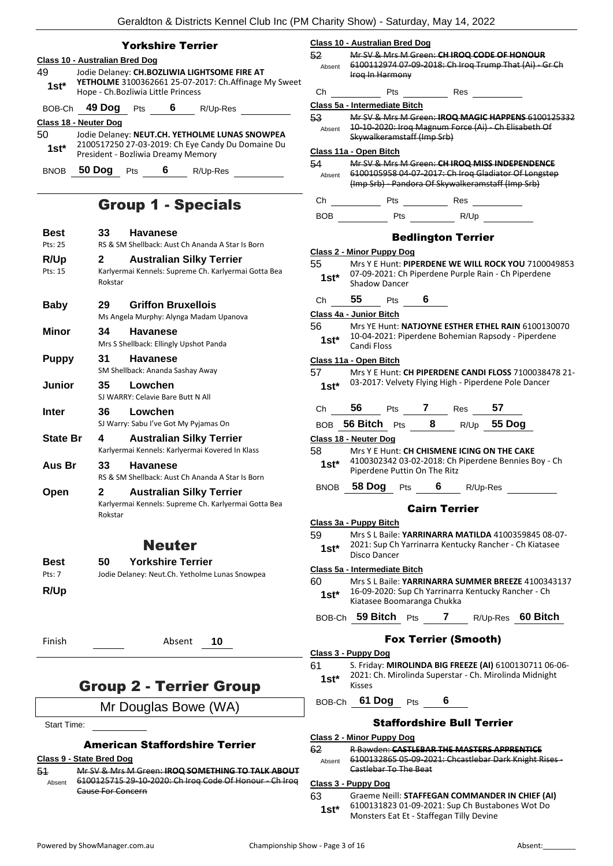|              |                                     |            | <b>Yorkshire Terrier</b> |                                                                                                              | Class        |
|--------------|-------------------------------------|------------|--------------------------|--------------------------------------------------------------------------------------------------------------|--------------|
|              | Class 10 - Australian Bred Dog      |            |                          |                                                                                                              | 52           |
| 49<br>$1st*$ | Hope - Ch. Bozliwia Little Princess |            |                          | Jodie Delaney: CH.BOZLIWIA LIGHTSOME FIRE AT<br><b>YETHOLME</b> 3100362661 25-07-2017: Ch. Affinage My Sweet | Abs<br>Сh    |
| BOB-Ch       | 49 Dog                              | <b>Pts</b> | 6                        | R/Up-Res                                                                                                     | Class        |
|              | <b>Class 18 - Neuter Dog</b>        |            |                          |                                                                                                              | 53           |
| 50<br>$1st*$ | President - Bozliwia Dreamy Memory  |            |                          | Jodie Delaney: NEUT.CH. YETHOLME LUNAS SNOWPEA<br>2100517250 27-03-2019: Ch Eye Candy Du Domaine Du          | Abs<br>Class |
| <b>BNOB</b>  | 50 Dog                              | Pts        | 6                        | R/Up-Res                                                                                                     | 54<br>Abs    |

### Group 1 - Specials

| Best                   | 33           | <b>Havanese</b>                                                                         |
|------------------------|--------------|-----------------------------------------------------------------------------------------|
| Pts: 25                |              | RS & SM Shellback: Aust Ch Ananda A Star Is Born                                        |
| R/Up                   | 2            | <b>Australian Silky Terrier</b>                                                         |
| $P$ <sup>ts</sup> : 15 | Rokstar      | Karlyermai Kennels: Supreme Ch. Karlyermai Gotta Bea                                    |
| <b>Baby</b>            | 29           | <b>Griffon Bruxellois</b><br>Ms Angela Murphy: Alynga Madam Upanova                     |
| Minor                  | 34           | <b>Havanese</b><br>Mrs S Shellback: Ellingly Upshot Panda                               |
| <b>Puppy</b>           | 31           | <b>Havanese</b><br>SM Shellback: Ananda Sashay Away                                     |
| Junior                 | 35           | Lowchen<br>SI WARRY: Celavie Bare Butt N All                                            |
| Inter                  | 36           | Lowchen<br>SJ Warry: Sabu I've Got My Pyjamas On                                        |
| <b>State Br</b>        | 4            | <b>Australian Silky Terrier</b><br>Karlyermai Kennels: Karlyermai Kovered In Klass      |
| Aus Br                 | 33           | <b>Havanese</b><br>RS & SM Shellback: Aust Ch Ananda A Star Is Born                     |
| Open                   | 2<br>Rokstar | <b>Australian Silky Terrier</b><br>Karlyermai Kennels: Supreme Ch. Karlyermai Gotta Bea |
|                        |              | Neuter                                                                                  |

| Best   | <b>Yorkshire Terrier</b><br>50.                |
|--------|------------------------------------------------|
| Pts: 7 | Jodie Delaney: Neut.Ch. Yetholme Lunas Snowpea |
| R/Up   |                                                |

Finish Absent **10**

### Group 2 - Terrier Group

Mr Douglas Bowe (WA)

Start Time:

#### American Staffordshire Terrier

#### **Class 9 - State Bred Dog**

51 Mr SV & Mrs M Green: **IROQ SOMETHING TO TALK ABOUT** 6100125715 29-10-2020: Ch Iroq Code Of Honour - Ch Iroq Cause For Concern Absent

|   |              | <b>Class 10 - Australian Bred Dog</b>                                                                                             |
|---|--------------|-----------------------------------------------------------------------------------------------------------------------------------|
|   | 52           | Mr SV & Mrs M Green: CH IROQ CODE OF HONOUR                                                                                       |
|   |              | Absent 6100112974 07-09-2018: Ch Iroq Trump That (Ai) - Gr Ch                                                                     |
| t |              | Irog In Harmony                                                                                                                   |
|   | Ch           | <b>Pts</b><br>Res                                                                                                                 |
|   |              | Class 5a - Intermediate Bitch                                                                                                     |
|   | 53           | Mr SV & Mrs M Green: IROQ MAGIC HAPPENS 6100125332                                                                                |
|   | Absent       | 10-10-2020: Iroq Magnum Force (Ai) - Ch Elisabeth Of                                                                              |
|   |              | Skywalkeramstaff (Imp Srb)                                                                                                        |
|   |              | Class 11a - Open Bitch                                                                                                            |
|   | 54 -         | Mr SV & Mrs M Green: CH IROQ MISS INDEPENDENCE                                                                                    |
|   | Absent       | 6100105958 04-07-2017: Ch Iroq Gladiator Of Longstep<br>(Imp Srb) Pandora Of Skywalkeramstaff (Imp Srb)                           |
|   |              |                                                                                                                                   |
|   | Ch           |                                                                                                                                   |
|   | BOB          | Pts ______ R/Up                                                                                                                   |
|   |              |                                                                                                                                   |
|   |              | <b>Bedlington Terrier</b>                                                                                                         |
|   |              | <b>Class 2 - Minor Puppy Dog</b>                                                                                                  |
|   | 55           | Mrs Y E Hunt: PIPERDENE WE WILL ROCK YOU 7100049853                                                                               |
|   | $1st^*$      | 07-09-2021: Ch Piperdene Purple Rain - Ch Piperdene<br>Shadow Dancer                                                              |
|   |              |                                                                                                                                   |
|   |              | Ch 55 Pts 6                                                                                                                       |
|   |              | Class 4a - Junior Bitch                                                                                                           |
|   | 56           | Mrs YE Hunt: NATJOYNE ESTHER ETHEL RAIN 6100130070                                                                                |
|   | $1st^*$      | 10-04-2021: Piperdene Bohemian Rapsody - Piperdene                                                                                |
|   |              | <b>Candi Floss</b>                                                                                                                |
|   |              | Class 11a - Open Bitch                                                                                                            |
|   |              | Mrs Y E Hunt: CH PIPERDENE CANDI FLOSS 7100038478 21-                                                                             |
|   | $1st^*$      | 03-2017: Velvety Flying High - Piperdene Pole Dancer                                                                              |
|   |              |                                                                                                                                   |
|   |              |                                                                                                                                   |
|   |              | Ch 56 Pts 7 Res 57                                                                                                                |
|   |              | BOB 56 Bitch Pts 8 R/Up 55 Dog                                                                                                    |
|   |              | Class 18 - Neuter Dog                                                                                                             |
|   | 58 —         | Mrs Y E Hunt: CH CHISMENE ICING ON THE CAKE                                                                                       |
|   | 1st*         | 4100302342 03-02-2018: Ch Piperdene Bennies Boy - Ch<br>Piperdene Puttin On The Ritz                                              |
|   |              |                                                                                                                                   |
|   | <b>BNOB</b>  | 58 Dog<br>6<br>R/Up-Res<br><b>Pts</b>                                                                                             |
|   |              | <b>Cairn Terrier</b>                                                                                                              |
|   |              | Class 3a - Puppy Bitch                                                                                                            |
|   | 59           | Mrs S L Baile: YARRINARRA MATILDA 4100359845 08-07-                                                                               |
|   | 1st*         | 2021: Sup Ch Yarrinarra Kentucky Rancher - Ch Kiatasee                                                                            |
|   |              | Disco Dancer                                                                                                                      |
|   |              | Class 5a - Intermediate Bitch                                                                                                     |
|   | 60           | Mrs S L Baile: YARRINARRA SUMMER BREEZE 4100343137                                                                                |
|   | 1st*         | 16-09-2020: Sup Ch Yarrinarra Kentucky Rancher - Ch                                                                               |
|   |              | Kiatasee Boomaranga Chukka                                                                                                        |
|   |              | BOB-Ch 59 Bitch Pts<br>7 $R/Up-Res$ 60 Bitch                                                                                      |
|   |              |                                                                                                                                   |
|   |              | <b>Fox Terrier (Smooth)</b>                                                                                                       |
|   |              | <u> Class 3 - Puppy Dog</u>                                                                                                       |
|   | 61<br>1st*   | S. Friday: MIROLINDA BIG FREEZE (AI) 6100130711 06-06-<br>2021: Ch. Mirolinda Superstar - Ch. Mirolinda Midnight<br><b>Kisses</b> |
|   |              | BOB-Ch 61 Dog Pts<br>6                                                                                                            |
|   |              |                                                                                                                                   |
|   |              | <b>Staffordshire Bull Terrier</b>                                                                                                 |
|   |              | <u> Class 2 - Minor Puppy Dog</u>                                                                                                 |
|   | 62<br>Absent | <b>R Bawden: CASTLEBAR THE MASTERS APPRENTICE</b><br>6100132865 05-09-2021: Chcastlebar Dark Knight Rises -                       |

#### **Class 3 - Puppy Dog**

63 Graeme Neill: **STAFFEGAN COMMANDER IN CHIEF (AI)** 6100131823 01-09-2021: Sup Ch Bustabones Wot Do Monsters Eat Et - Staffegan Tilly Devine **1st\***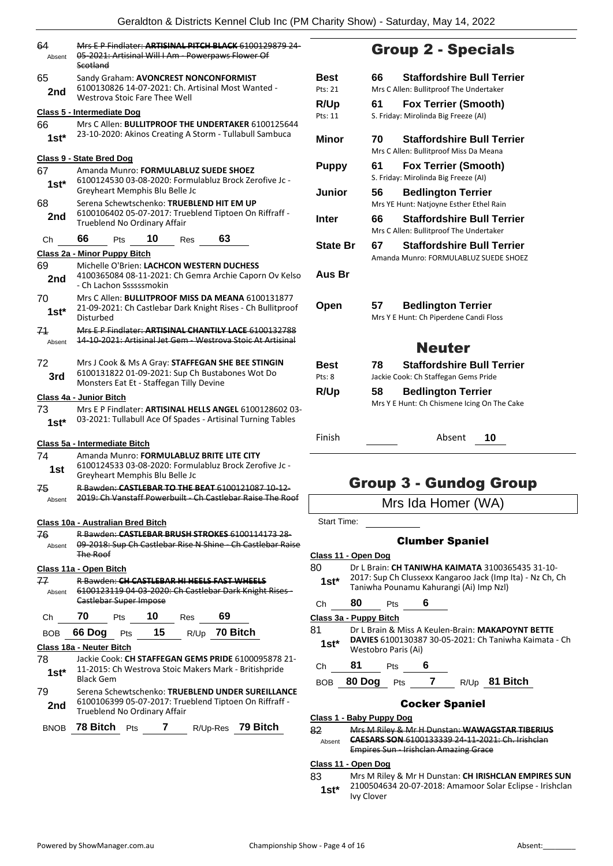| 64<br>Absent  | Mrs E.P. Findlater: ARTISINAL PITCH BLACK 6100129879 24-<br>05 2021: Artisinal Will I Am Powerpaws Flower Of<br>Scotland                                     |        |  |
|---------------|--------------------------------------------------------------------------------------------------------------------------------------------------------------|--------|--|
| 65<br>2nd     | Sandy Graham: AVONCREST NONCONFORMIST<br>6100130826 14-07-2021: Ch. Artisinal Most Wanted -<br>Westrova Stoic Fare Thee Well                                 |        |  |
|               | Class 5 - Intermediate Dog                                                                                                                                   |        |  |
| 66<br>$1st^*$ | Mrs C Allen: BULLITPROOF THE UNDERTAKER 6100125644<br>23-10-2020: Akinos Creating A Storm - Tullabull Sambuca                                                |        |  |
|               | <b>Class 9 - State Bred Dog</b>                                                                                                                              |        |  |
| 67<br>1st*    | Amanda Munro: FORMULABLUZ SUEDE SHOEZ<br>6100124530 03-08-2020: Formulabluz Brock Zerofive Jc -<br>Greyheart Memphis Blu Belle Jc                            |        |  |
| 68<br>2nd     | Serena Schewtschenko: TRUEBLEND HIT EM UP<br>6100106402 05-07-2017: Trueblend Tiptoen On Riffraff -<br>Trueblend No Ordinary Affair                          |        |  |
| Сh            | 66<br>63<br>10<br>Pts<br><b>Res</b>                                                                                                                          |        |  |
|               | Class 2a - Minor Puppy Bitch                                                                                                                                 |        |  |
| 69<br>2nd     | Michelle O'Brien: LACHCON WESTERN DUCHESS<br>4100365084 08-11-2021: Ch Gemra Archie Caporn Ov Kelso<br>- Ch Lachon Ssssssmokin                               |        |  |
| 70<br>1st*    | Mrs C Allen: <b>BULLITPROOF MISS DA MEANA</b> 6100131877<br>21-09-2021: Ch Castlebar Dark Knight Rises - Ch Bullitproof<br>Disturbed                         |        |  |
| 71<br>Absent  | Mrs E.P. Findlater: ARTISINAL CHANTILY LACE 6100132788<br>14 10 2021: Artisinal Jet Gem Westrova Stoic At Artisinal                                          |        |  |
| 72<br>3rd     | Mrs J Cook & Ms A Gray: STAFFEGAN SHE BEE STINGIN<br>6100131822 01-09-2021: Sup Ch Bustabones Wot Do<br>Monsters Eat Et - Staffegan Tilly Devine             |        |  |
|               | Class 4a - Junior Bitch                                                                                                                                      |        |  |
| 73<br>1st*    | Mrs E P Findlater: ARTISINAL HELLS ANGEL 6100128602 03-<br>03-2021: Tullabull Ace Of Spades - Artisinal Turning Tables                                       |        |  |
|               | Class 5a - Intermediate Bitch                                                                                                                                |        |  |
| 74            | Amanda Munro: FORMULABLUZ BRITE LITE CITY                                                                                                                    |        |  |
| 1st           | 6100124533 03-08-2020: Formulabluz Brock Zerofive Jc -<br>Greyheart Memphis Blu Belle Jc                                                                     |        |  |
| ₩,<br>Absent  | <del>R Bawden: <b>CAST</b></del><br><del>LEBAR TO THE BEAT 6100121087</del><br><del>10-12-</del><br>2019: Ch Vanstaff Powerbuilt Ch Castlebar Raise The Roof |        |  |
|               | Class 10a - Australian Bred Bitch                                                                                                                            |        |  |
| 76<br>Absent  | R Bawden: CASTLEBAR BRUSH STROKES 6100114173 28-<br>09 2018: Sup Ch Castlebar Rise N Shine Ch Castlebar Raise<br><b>The Roof</b>                             |        |  |
|               | Class 11a - Open Bitch                                                                                                                                       | Ω<br>٤ |  |
| 77            | <b>R Bawden: CH CASTLEBAR HI HEELS FAST WHEELS</b>                                                                                                           |        |  |
| Absent        | 6100123119 04 03 2020: Ch Castlebar Dark Knight Rises-<br>Castlebar Super Impose                                                                             |        |  |
| Ch            | 70<br>10<br>69<br>Pts<br><b>Res</b>                                                                                                                          |        |  |
| BOB           | R/Up 70 Bitch<br>15<br>66 Dog<br><b>Pts</b>                                                                                                                  |        |  |
|               | Class 18a - Neuter Bitch                                                                                                                                     |        |  |
| 78<br>$1st*$  | Jackie Cook: CH STAFFEGAN GEMS PRIDE 6100095878 21-<br>11-2015: Ch Westrova Stoic Makers Mark - Britishpride<br>Black Gem                                    |        |  |
| 79<br>2nd     | Serena Schewtschenko: TRUEBLEND UNDER SUREILLANCE<br>6100106399 05-07-2017: Trueblend Tiptoen On Riffraff -<br>Trueblend No Ordinary Affair                  |        |  |
| BNOB          | 78 Bitch<br>7<br>R/Up-Res 79 Bitch<br>Pts                                                                                                                    |        |  |
|               |                                                                                                                                                              |        |  |

### Group 2 - Specials

| Best            | <b>Staffordshire Bull Terrier</b><br>66                                            |
|-----------------|------------------------------------------------------------------------------------|
| Pts: 21         | Mrs C Allen: Bullitproof The Undertaker                                            |
| R/Up<br>Pts: 11 | 61<br><b>Fox Terrier (Smooth)</b><br>S. Friday: Mirolinda Big Freeze (AI)          |
| Minor           | <b>Staffordshire Bull Terrier</b><br>70<br>Mrs C Allen: Bullitproof Miss Da Meana  |
| <b>Puppy</b>    | 61<br><b>Fox Terrier (Smooth)</b><br>S. Friday: Mirolinda Big Freeze (AI)          |
| Junior          | <b>Bedlington Terrier</b><br>56<br>Mrs YE Hunt: Natjoyne Esther Ethel Rain         |
| <b>Inter</b>    | <b>Staffordshire Bull Terrier</b><br>66<br>Mrs C Allen: Bullitproof The Undertaker |
| State Br        | <b>Staffordshire Bull Terrier</b><br>67<br>Amanda Munro: FORMULABLUZ SUEDE SHOEZ   |
| Aus Br          |                                                                                    |
| Open            | 57<br><b>Bedlington Terrier</b>                                                    |
|                 | Mrs Y E Hunt: Ch Piperdene Candi Floss                                             |
|                 | <b>Neuter</b>                                                                      |
| Best            | <b>Staffordshire Bull Terrier</b><br>78                                            |
| Pts: 8          | Jackie Cook: Ch Staffegan Gems Pride                                               |
| <b>R/Up</b>     | <b>Bedlington Terrier</b><br>58<br>Mrs Y E Hunt: Ch Chismene Icing On The Cake     |
| Finish          | Absent<br>10                                                                       |

### Group 3 - Gundog Group

| Mrs Ida Homer (WA) |  |
|--------------------|--|
|                    |  |

Start Time:

#### Clumber Spaniel

- **Class 11 - Open Dog**
- 80 Dr L Brain: **CH TANIWHA KAIMATA** 3100365435 31-10- 2017: Sup Ch Clussexx Kangaroo Jack (Imp Ita) - Nz Ch, Ch **1st**\* 2017: Sup Ch Clussexx Kangaroo Jack (Imp Nzl) Taniwha Pounamu Kahurangi (Ai) Imp Nzl)
- 

### Ch **80** Pts **6**

**Class 3a - Puppy Bitch** 81 Dr L Brain & Miss A Keulen-Brain: **MAKAPOYNT BETTE DAVIES** 6100130387 30-05-2021: Ch Taniwha Kaimata - Ch Westobro Paris (Ai) **1st\***

- Ch **81** Pts **6**
- BOB **80 Dog** Pts **7** R/Up **81 Bitch**

#### Cocker Spaniel

**Class 1 - Baby Puppy Dog**

82 Mrs M Riley & Mr H Dunstan: **WAWAGSTAR TIBERIUS CAESARS SON** 6100133339 24-11-2021: Ch. Irishclan Empires Sun - Irishclan Amazing Grace Absent

#### **Class 11 - Open Dog**

83 Mrs M Riley & Mr H Dunstan: **CH IRISHCLAN EMPIRES SUN** 2100504634 20-07-2018: Amamoor Solar Eclipse - Irishclan 1st<sup>\*</sup> <sup>21005046</sup>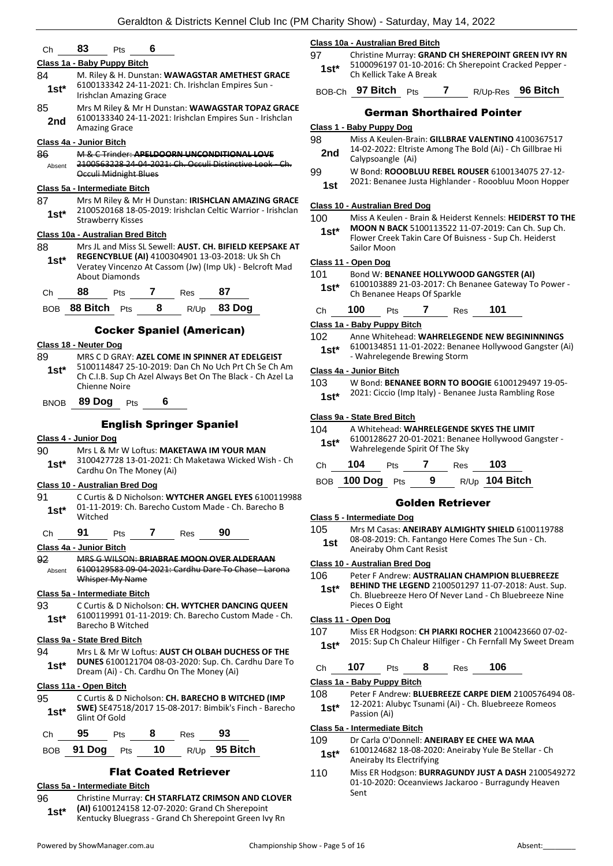## Ch **83** Pts **6**

#### **Class 1a - Baby Puppy Bitch**

- 84 M. Riley & H. Dunstan: **WAWAGSTAR AMETHEST GRACE** 6100133342 24-11-2021: Ch. Irishclan Empires Sun - Irishclan Amazing Grace **1st\*** 85 Mrs M Riley & Mr H Dunstan: **WAWAGSTAR TOPAZ GRACE**
- 6100133340 24-11-2021: Irishclan Empires Sun Irishclan 2nd <sup>6100133340</sup> 24<br>Amazing Grace

#### **Class 4a - Junior Bitch**

86 M & C Trinder: **APELDOORN UNCONDITIONAL LOVE** 2100563228 24 04 2021: Ch. Occuli Distinctive Look Occuli Midnight Blues Absent

#### **Class 5a - Intermediate Bitch**

87 Mrs M Riley & Mr H Dunstan: **IRISHCLAN AMAZING GRACE** 2100520168 18-05-2019: Irishclan Celtic Warrior - Irishclan Strawberry Kisses **1st\***

#### **Class 10a - Australian Bred Bitch**

88 Mrs JL and Miss SL Sewell: **AUST. CH. BIFIELD KEEPSAKE AT REGENCYBLUE (AI)** 4100304901 13-03-2018: Uk Sh Ch Veratey Vincenzo At Cassom (Jw) (Imp Uk) - Belcroft Mad About Diamonds **1st\***

Ch **88** Pts **7** Res **87**

BOB **88 Bitch** Pts **8** R/Up **83 Dog**

#### Cocker Spaniel (American)

#### **Class 18 - Neuter Dog**

89 MRS C D GRAY: **AZEL COME IN SPINNER AT EDELGEIST** 5100114847 25-10-2019: Dan Ch No Uch Prt Ch Se Ch Am Ch C.I.B. Sup Ch Azel Always Bet On The Black - Ch Azel La Chienne Noire **1st\***

BNOB **89 Dog** Pts **6**

#### English Springer Spaniel

- **Class 4 - Junior Dog**
- 90 Mrs L & Mr W Loftus: **MAKETAWA IM YOUR MAN**
- 3100427728 13-01-2021: Ch Maketawa Wicked Wish Ch 1st<sup>\*</sup> 3100427728 13-01-2021: Cardhu On The Money (Ai)

#### **Class 10 - Australian Bred Dog**

- 91 C Curtis & D Nicholson: **WYTCHER ANGEL EYES** 6100119988 01-11-2019: Ch. Barecho Custom Made - Ch. Barecho B 1st<sup>\*</sup> U<sub>I-II-ZU</sub>
- Ch **91** Pts **7** Res **90**

**Class 4a - Junior Bitch**

92 MRS G WILSON: **BRIABRAE MOON OVER ALDERAAN** 6100129583 09-04-2021: Cardhu Dare To Chase - Larona Whisper My Name Absent

#### **Class 5a - Intermediate Bitch**

93 C Curtis & D Nicholson: **CH. WYTCHER DANCING QUEEN** 6100119991 01-11-2019: Ch. Barecho Custom Made - Ch. 1st\* **DIUULL9991 UL-11-**<br>Barecho B Witched

#### **Class 9a - State Bred Bitch**

94 Mrs L & Mr W Loftus: **AUST CH OLBAH DUCHESS OF THE DUNES** 6100121704 08-03-2020: Sup. Ch. Cardhu Dare To **1st\* Dream** (Ai) - Ch. Cardhu On The Money (Ai) **1st\*** 

#### **Class 11a - Open Bitch**

| 95     | C Curtis & D Nicholson: CH. BARECHO B WITCHED (IMP                      |
|--------|-------------------------------------------------------------------------|
| $1st*$ | SWE) SE47518/2017 15-08-2017: Bimbik's Finch - Barecho<br>Glint Of Gold |

| Ch 95 Pts 8 Res 93 |  |                                 |
|--------------------|--|---------------------------------|
|                    |  | BOB 91 Dog Pts 10 R/Up 95 Bitch |

### Flat Coated Retriever

#### **Class 5a - Intermediate Bitch**

96 Christine Murray: **CH STARFLATZ CRIMSON AND CLOVER (AI)** 6100124158 12-07-2020: Grand Ch Sherepoint **1st\* And Subset Ally Subset Ally OLOGITY** Grand Ch Sherepoint Green Ivy Rn **1st Ally Rn 1st Ally Rn 1st Ally Rn** 

#### **Class 10a - Australian Bred Bitch**

97 Christine Murray: **GRAND CH SHEREPOINT GREEN IVY RN** 5100096197 01-10-2016: Ch Sherepoint Cracked Pepper - Ch Kellick Take A Break **1st\***

BOB-Ch **97 Bitch** Pts **7** R/Up-Res **96 Bitch**

#### German Shorthaired Pointer

#### **Class 1 - Baby Puppy Dog**

- 98 Miss A Keulen-Brain: **GILLBRAE VALENTINO** 4100367517
- 14-02-2022: Eltriste Among The Bold (Ai) Ch Gillbrae Hi **2nd** 14-02-2022: Eltris<br>Calypsoangle (Ai)
- 99 W Bond: **ROOOBLUU REBEL ROUSER** 6100134075 27-12-
- 2021: Benanee Justa Highlander Rooobluu Moon Hopper **1st**

#### **Class 10 - Australian Bred Dog**

- 100 Miss A Keulen Brain & Heiderst Kennels: **HEIDERST TO THE MOON N BACK** 5100113522 11-07-2019: Can Ch. Sup Ch.
- Flower Creek Takin Care Of Buisness Sup Ch. Heiderst Sailor Moon **1st\***

#### **Class 11 - Open Dog**

- 101 Bond W: **BENANEE HOLLYWOOD GANGSTER (AI)**
- 6100103889 21-03-2017: Ch Benanee Gateway To Power 1st\* b100103889 21-03-2017: Ch Benanee Heaps Of Sparkle
- Ch **100** Pts **7** Res **101**

#### **Class 1a - Baby Puppy Bitch**

#### 102 Anne Whitehead: **WAHRELEGENDE NEW BEGININNINGS**

6100134851 11-01-2022: Benanee Hollywood Gangster (Ai) - Wahrelegende Brewing Storm **1st\***

#### **Class 4a - Junior Bitch**

103 W Bond: **BENANEE BORN TO BOOGIE** 6100129497 19-05- 2021: Ciccio (Imp Italy) - Benanee Justa Rambling Rose **1st\***

#### **Class 9a - State Bred Bitch**

#### 104 A Whitehead: **WAHRELEGENDE SKYES THE LIMIT**

6100128627 20-01-2021: Benanee Hollywood Gangster - Wahrelegende Spirit Of The Sky **1st\***

| Ch | 104                   | <b>Pts</b> |   | Res | 103              |
|----|-----------------------|------------|---|-----|------------------|
|    | $BOB$ 100 $Dog$ $Pts$ |            | 9 |     | $R/Up$ 104 Bitch |

#### Golden Retriever

#### **Class 5 - Intermediate Dog**

- 105 Mrs M Casas: **ANEIRABY ALMIGHTY SHIELD** 6100119788
	- 08-08-2019: Ch. Fantango Here Comes The Sun Ch. Aneiraby Ohm Cant Resist **1st**

#### **Class 10 - Australian Bred Dog**

- 106 Peter F Andrew: **AUSTRALIAN CHAMPION BLUEBREEZE**
- **BEHIND THE LEGEND** 2100501297 11-07-2018: Aust. Sup. Ch. Bluebreeze Hero Of Never Land - Ch Bluebreeze Nine Pieces O Eight **1st\***

#### **Class 11 - Open Dog**

- 107 Miss ER Hodgson: **CH PIARKI ROCHER** 2100423660 07-02-
- 2015: Sup Ch Chaleur Hilfiger Ch Fernfall My Sweet Dream **1st\***

Ch **107** Pts **8** Res **106**

**Class 1a - Baby Puppy Bitch**

108 Peter F Andrew: **BLUEBREEZE CARPE DIEM** 2100576494 08- 12-2021: Alubyc Tsunami (Ai) - Ch. Bluebreeze Romeos **1st**\* **14-2021: All**<br>Passion (Ai)

#### **Class 5a - Intermediate Bitch**

109 Dr Carla O'Donnell: **ANEIRABY EE CHEE WA MAA** 6100124682 18-08-2020: Aneiraby Yule Be Stellar - Ch Aneiraby Its Electrifying **1st\***

110 Miss ER Hodgson: **BURRAGUNDY JUST A DASH** 2100549272 01-10-2020: Oceanviews Jackaroo - Burragundy Heaven Sent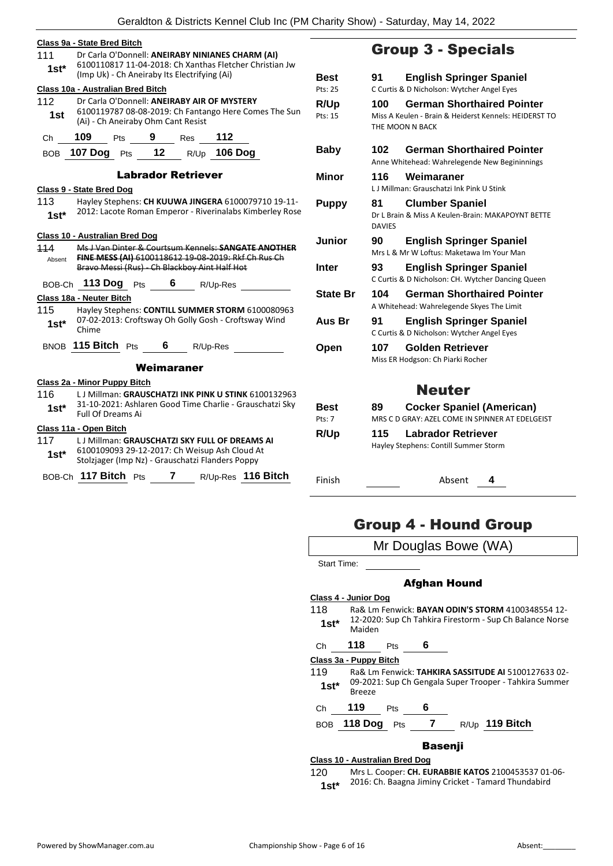| 111<br>$1st^*$    | Dr Carla O'Donnell: ANEIRABY NINIANES CHARM (AI)<br>6100110817 11-04-2018: Ch Xanthas Fletcher Christian Jw<br>(Imp Uk) - Ch Aneiraby Its Electrifying (Ai) |            |   |                           |              |                                                                                                                  |
|-------------------|-------------------------------------------------------------------------------------------------------------------------------------------------------------|------------|---|---------------------------|--------------|------------------------------------------------------------------------------------------------------------------|
|                   | Class 10a - Australian Bred Bitch                                                                                                                           |            |   |                           |              |                                                                                                                  |
| 112<br>1st        | Dr Carla O'Donnell: ANEIRABY AIR OF MYSTERY<br>6100119787 08-08-2019: Ch Fantango Here Comes The Sun<br>(Ai) - Ch Aneiraby Ohm Cant Resist                  |            |   |                           |              |                                                                                                                  |
| Ch                | 109                                                                                                                                                         | <b>Pts</b> |   | $9$ Res                   | 112          |                                                                                                                  |
|                   | BOB 107 Dog Pts 12                                                                                                                                          |            |   |                           | R/Up 106 Dog |                                                                                                                  |
|                   |                                                                                                                                                             |            |   | <b>Labrador Retriever</b> |              |                                                                                                                  |
| 113<br>$1st^*$    | Class 9 - State Bred Dog                                                                                                                                    |            |   |                           |              | Hayley Stephens: CH KUUWA JINGERA 6100079710 19-11-<br>2012: Lacote Roman Emperor - Riverinalabs Kimberley Rose  |
| 114<br>Absent     | <b>Class 10 - Australian Bred Dog</b><br>Bravo Messi (Rus) - Ch Blackboy Aint Half Hot                                                                      |            |   |                           |              | Ms J Van Dinter & Courtsum Kennels: SANGATE ANOTHER<br>FINE MESS (AI) 6100118612 19-08-2019: Rkf Ch Rus Ch       |
| BOB-Ch            | 113 Dog Pts                                                                                                                                                 |            |   | 6 R/Up-Res                |              |                                                                                                                  |
| 115<br>$1$ st $*$ | Class 18a - Neuter Bitch<br>Chime                                                                                                                           |            |   |                           |              | Hayley Stephens: CONTILL SUMMER STORM 6100080963<br>07-02-2013: Croftsway Oh Golly Gosh - Croftsway Wind         |
|                   | BNOB 115 Bitch Pts                                                                                                                                          |            | 6 |                           | R/Up-Res     |                                                                                                                  |
|                   |                                                                                                                                                             |            |   | Weimaraner                |              |                                                                                                                  |
| 116<br>1st*       | Class 2a - Minor Puppy Bitch<br>Full Of Dreams Ai                                                                                                           |            |   |                           |              | L J Millman: GRAUSCHATZI INK PINK U STINK 6100132963<br>31-10-2021: Ashlaren Good Time Charlie - Grauschatzi Sky |
|                   | Class 11a - Open Bitch                                                                                                                                      |            |   |                           |              |                                                                                                                  |
| 117<br>1st*       | LJ Millman: GRAUSCHATZI SKY FULL OF DREAMS AI<br>6100109093 29-12-2017: Ch Weisup Ash Cloud At<br>Stolzjager (Imp Nz) - Grauschatzi Flanders Poppy          |            |   |                           |              |                                                                                                                  |
|                   | BOB-Ch 117 Bitch Pts                                                                                                                                        |            |   | 7                         | R/Up-Res     | 116 Bitch                                                                                                        |

### Group 3 - Specials

| Best<br>Pts: 25        | 91                  | <b>English Springer Spaniel</b><br>C Curtis & D Nicholson: Wytcher Angel Eyes                                 |
|------------------------|---------------------|---------------------------------------------------------------------------------------------------------------|
| <b>R/Up</b><br>Pts: 15 | 100                 | <b>German Shorthaired Pointer</b><br>Miss A Keulen - Brain & Heiderst Kennels: HEIDERST TO<br>THE MOON N BACK |
| Baby                   | 102                 | <b>German Shorthaired Pointer</b><br>Anne Whitehead: Wahrelegende New Begininnings                            |
| Minor                  | 116                 | Weimaraner<br>L.J Millman: Grauschatzi Ink Pink U Stink                                                       |
| <b>Puppy</b>           | 81<br><b>DAVIES</b> | <b>Clumber Spaniel</b><br>Dr L Brain & Miss A Keulen-Brain: MAKAPOYNT BETTE                                   |
| <b>Junior</b>          | 90                  | <b>English Springer Spaniel</b><br>Mrs L & Mr W Loftus: Maketawa Im Your Man                                  |
| Inter                  | 93                  | <b>English Springer Spaniel</b><br>C Curtis & D Nicholson: CH. Wytcher Dancing Queen                          |
| <b>State Br</b>        | 104                 | <b>German Shorthaired Pointer</b><br>A Whitehead: Wahrelegende Skyes The Limit                                |
| Aus Br                 | 91                  | <b>English Springer Spaniel</b><br>C Curtis & D Nicholson: Wytcher Angel Eyes                                 |
| Open                   | 107                 | Golden Retriever<br>Miss ER Hodgson: Ch Piarki Rocher                                                         |
|                        |                     | <b>Neuter</b>                                                                                                 |
| Best<br>Pts: 7         | 89                  | <b>Cocker Spaniel (American)</b><br>MRS C D GRAY: AZEL COME IN SPINNER AT EDELGEIST                           |
| R/Up                   | 115                 | Labrador Retriever<br>Hayley Stephens: Contill Summer Storm                                                   |

Finish Absent **4**

### Group 4 - Hound Group



#### **Class 10 - Australian Bred Dog**

120 Mrs L. Cooper: **CH. EURABBIE KATOS** 2100453537 01-06- 2016: Ch. Baagna Jiminy Cricket - Tamard Thundabird **1st\***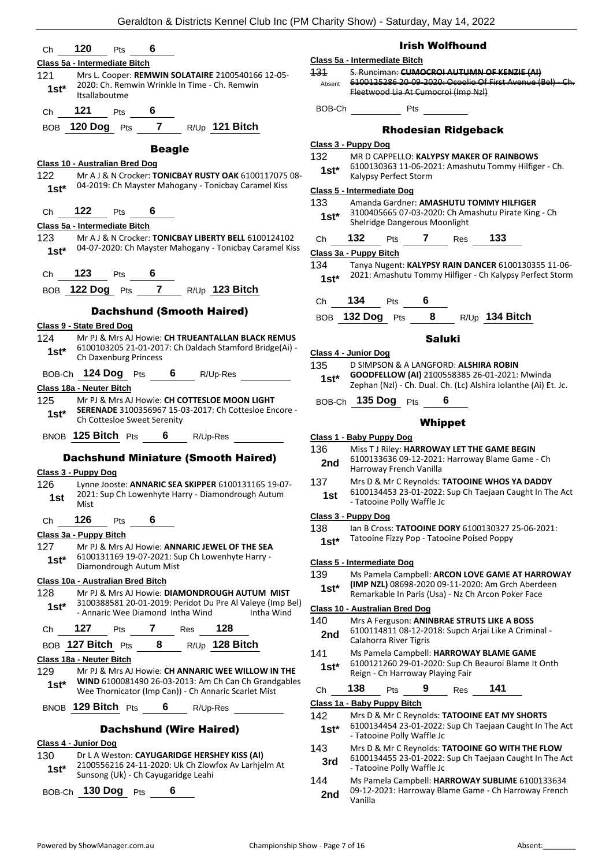| 120<br>6<br>Pts<br>Сh                                                                                                                                   | <b>Irish Wolfhound</b>                                                                                                                                            |
|---------------------------------------------------------------------------------------------------------------------------------------------------------|-------------------------------------------------------------------------------------------------------------------------------------------------------------------|
| Class 5a - Intermediate Bitch                                                                                                                           | Class 5a - Intermediate Bitch                                                                                                                                     |
| 121<br>Mrs L. Cooper: REMWIN SOLATAIRE 2100540166 12-05-<br>2020: Ch. Remwin Wrinkle In Time - Ch. Remwin<br>$1st*$<br>Itsallaboutme                    | S. Runciman: CUMOCROI AUTUMN OF KENZIE (AI)<br>131<br>6100125286 20-09-2020: Ocoolio Of First Avenue (Bel) - Ch.<br>Absent<br>Fleetwood Lia At Cumocroi (Imp Nzl) |
| 121<br>6<br>Pts<br>Ch                                                                                                                                   | BOB-Ch<br>Pts                                                                                                                                                     |
| BOB 120 Dog Pts 7 R/Up 121 Bitch                                                                                                                        | <b>Rhodesian Ridgeback</b>                                                                                                                                        |
| <b>Beagle</b>                                                                                                                                           | Class 3 - Puppy Dog                                                                                                                                               |
| Class 10 - Australian Bred Dog                                                                                                                          | 132<br>MR D CAPPELLO: KALYPSY MAKER OF RAINBOWS                                                                                                                   |
| 122<br>Mr A J & N Crocker: TONICBAY RUSTY OAK 6100117075 08-                                                                                            | 6100130363 11-06-2021: Amashutu Tommy Hilfiger - Ch.<br>$1st^*$<br>Kalypsy Perfect Storm                                                                          |
| 04-2019: Ch Mayster Mahogany - Tonicbay Caramel Kiss<br>$1st^*$                                                                                         | <b>Class 5 - Intermediate Dog</b>                                                                                                                                 |
| 122<br>Pts<br>6<br>Ch                                                                                                                                   | Amanda Gardner: AMASHUTU TOMMY HILFIGER<br>133<br>3100405665 07-03-2020: Ch Amashutu Pirate King - Ch                                                             |
| Class 5a - Intermediate Bitch                                                                                                                           | $1st^*$<br>Shelridge Dangerous Moonlight                                                                                                                          |
| 123<br>Mr A J & N Crocker: TONICBAY LIBERTY BELL 6100124102                                                                                             | 132<br>$\overline{7}$<br>Res <b>133</b><br>Pts<br>Ch                                                                                                              |
| 04-07-2020: Ch Mayster Mahogany - Tonicbay Caramel Kiss<br>$1st*$                                                                                       | Class 3a - Puppy Bitch                                                                                                                                            |
| 123<br>Pts $\overline{\mathbf{6}}$<br>Ch                                                                                                                | Tanya Nugent: KALYPSY RAIN DANCER 6100130355 11-06-<br>134<br>2021: Amashutu Tommy Hilfiger - Ch Kalypsy Perfect Storm                                            |
| BOB 122 Dog Pts 7 R/Up 123 Bitch                                                                                                                        | $1st*$                                                                                                                                                            |
|                                                                                                                                                         | 134<br>Pts $\overline{\mathbf{6}}$<br>Ch                                                                                                                          |
| <b>Dachshund (Smooth Haired)</b>                                                                                                                        | BOB 132 Dog Pts 8 R/Up 134 Bitch                                                                                                                                  |
| Class 9 - State Bred Dog<br>Mr PJ & Mrs AJ Howie: CH TRUEANTALLAN BLACK REMUS<br>124                                                                    |                                                                                                                                                                   |
| 6100103205 21-01-2017: Ch Daldach Stamford Bridge(Ai) -<br>$1st*$                                                                                       | <b>Saluki</b><br>Class 4 - Junior Dog                                                                                                                             |
| Ch Daxenburg Princess                                                                                                                                   | 135<br>D SIMPSON & A LANGFORD: ALSHIRA ROBIN                                                                                                                      |
| BOB-Ch 124 Dog Pts 6 R/Up-Res                                                                                                                           | GOODFELLOW (AI) 2100558385 26-01-2021: Mwinda<br>$1st^*$                                                                                                          |
| <b>Class 18a - Neuter Bitch</b>                                                                                                                         | Zephan (Nzl) - Ch. Dual. Ch. (Lc) Alshira Iolanthe (Ai) Et. Jc.                                                                                                   |
| 125<br>Mr PJ & Mrs AJ Howie: CH COTTESLOE MOON LIGHT<br>SERENADE 3100356967 15-03-2017: Ch Cottesloe Encore -<br>$1st^*$<br>Ch Cottesloe Sweet Serenity | BOB-Ch 135 Dog Pts 6<br><b>Whippet</b>                                                                                                                            |
| BNOB 125 Bitch Pts 6 R/Up-Res                                                                                                                           | Class 1 - Baby Puppy Dog                                                                                                                                          |
| <b>Dachshund Miniature (Smooth Haired)</b>                                                                                                              | 136<br>Miss T J Riley: HARROWAY LET THE GAME BEGIN<br>6100133636 09-12-2021: Harroway Blame Game - Ch<br>2nd<br>Harroway French Vanilla                           |
| Class 3 - Puppy Dog<br>126<br>Lynne Jooste: ANNARIC SEA SKIPPER 6100131165 19-07-                                                                       | 137<br>Mrs D & Mr C Reynolds: TATOOINE WHOS YA DADDY                                                                                                              |
| 2021: Sup Ch Lowenhyte Harry - Diamondrough Autum<br>1st<br>Mist                                                                                        | 6100134453 23-01-2022: Sup Ch Taejaan Caught In The Act<br>1st<br>- Tatooine Polly Waffle Jc                                                                      |
| 126<br>6<br>Pts<br>Ch                                                                                                                                   | Class 3 - Puppy Dog                                                                                                                                               |
| Class 3a - Puppy Bitch                                                                                                                                  | 138<br>lan B Cross: TATOOINE DORY 6100130327 25-06-2021:<br>Tatooine Fizzy Pop - Tatooine Poised Poppy<br>$1st*$                                                  |
| 127<br>Mr PJ & Mrs AJ Howie: <b>ANNARIC JEWEL OF THE SEA</b><br>6100131169 19-07-2021: Sup Ch Lowenhyte Harry -                                         |                                                                                                                                                                   |
| $1st*$<br>Diamondrough Autum Mist                                                                                                                       | Class 5 - Intermediate Dog                                                                                                                                        |
| Class 10a - Australian Bred Bitch                                                                                                                       | 139<br>Ms Pamela Campbell: ARCON LOVE GAME AT HARROWAY<br>(IMP NZL) 08698-2020 09-11-2020: Am Grch Aberdeen<br>$1st^*$                                            |
| Mr PJ & Mrs AJ Howie: DIAMONDROUGH AUTUM MIST<br>128<br>3100388581 20-01-2019: Peridot Du Pre Al Valeye (Imp Bel)                                       | Remarkable In Paris (Usa) - Nz Ch Arcon Poker Face                                                                                                                |
| $1st*$<br>Intha Wind<br>- Annaric Wee Diamond Intha Wind                                                                                                | Class 10 - Australian Bred Dog                                                                                                                                    |
| 128<br>127<br>7<br>Pts<br>Res<br>Ch                                                                                                                     | 140<br>Mrs A Ferguson: ANINBRAE STRUTS LIKE A BOSS<br>6100114811 08-12-2018: Supch Arjai Like A Criminal -<br>2nd                                                 |
| 8<br>BOB 127 Bitch Pts<br>R/Up 128 Bitch                                                                                                                | Calahorra River Tigris<br>141<br>Ms Pamela Campbell: HARROWAY BLAME GAME                                                                                          |
| Class 18a - Neuter Bitch                                                                                                                                | 6100121260 29-01-2020: Sup Ch Beauroi Blame It Onth<br>$1st*$                                                                                                     |
| 129<br>Mr PJ & Mrs AJ Howie: CH ANNARIC WEE WILLOW IN THE<br>WIND 6100081490 26-03-2013: Am Ch Can Ch Grandgables                                       | Reign - Ch Harroway Playing Fair                                                                                                                                  |
| $1st*$<br>Wee Thornicator (Imp Can)) - Ch Annaric Scarlet Mist                                                                                          | 138<br>141<br>9<br>Pts<br>Res<br>Ch                                                                                                                               |
| BNOB 129 Bitch Pts<br>6<br>R/Up-Res                                                                                                                     | Class 1a - Baby Puppy Bitch                                                                                                                                       |
| <b>Dachshund (Wire Haired)</b>                                                                                                                          | 142<br>Mrs D & Mr C Reynolds: TATOOINE EAT MY SHORTS<br>6100134454 23-01-2022: Sup Ch Taejaan Caught In The Act<br>$1st*$<br>- Tatooine Polly Waffle Jc           |
| Class 4 - Junior Dog<br>130<br>Dr L A Weston: CAYUGARIDGE HERSHEY KISS (AI)                                                                             | 143<br>Mrs D & Mr C Reynolds: TATOOINE GO WITH THE FLOW                                                                                                           |
| 2100556216 24-11-2020: Uk Ch Zlowfox Av Larhjelm At<br>$1st*$                                                                                           | 6100134455 23-01-2022: Sup Ch Taejaan Caught In The Act<br>3rd<br>- Tatooine Polly Waffle Jc                                                                      |
| Sunsong (Uk) - Ch Cayugaridge Leahi                                                                                                                     | 144<br>Ms Pamela Campbell: HARROWAY SUBLIME 6100133634                                                                                                            |
| BOB-Ch 130 Dog Pts<br>6                                                                                                                                 | 09-12-2021: Harroway Blame Game - Ch Harroway French<br>2nd<br>Vanilla                                                                                            |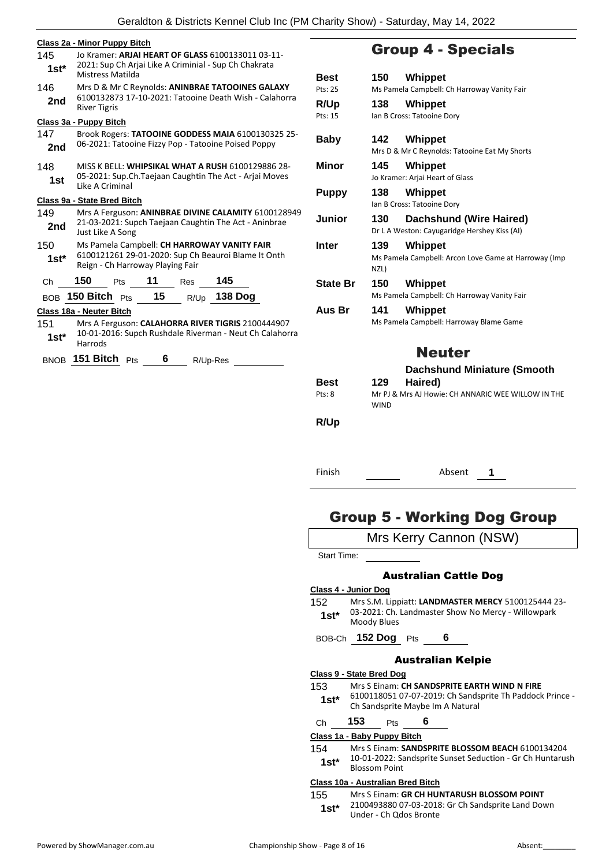|                | Class 2a - Minor Puppy Bitch                                                                                                                |             |  |  |  |  |
|----------------|---------------------------------------------------------------------------------------------------------------------------------------------|-------------|--|--|--|--|
| 145<br>$1st^*$ | Jo Kramer: <b>ARJAI HEART OF GLASS</b> 6100133011 03-11-<br>2021: Sup Ch Arjai Like A Criminial - Sup Ch Chakrata<br>Mistress Matilda<br>Be |             |  |  |  |  |
| 146<br>2nd     | Mrs D & Mr C Reynolds: ANINBRAE TATOOINES GALAXY<br>6100132873 17-10-2021: Tatooine Death Wish - Calahorra<br><b>River Tigris</b>           | Pts:<br>R/l |  |  |  |  |
|                | Class 3a - Puppy Bitch                                                                                                                      | Pts:        |  |  |  |  |
| 147<br>2nd     | Brook Rogers: TATOOINE GODDESS MAIA 6100130325 25-<br>06-2021: Tatooine Fizzy Pop - Tatooine Poised Poppy                                   | Ba          |  |  |  |  |
| 148<br>1st     | MISS K BELL: WHIPSIKAL WHAT A RUSH 6100129886 28-<br>05-2021: Sup.Ch.Taejaan Caughtin The Act - Ariai Moves<br>Like A Criminal              | Mil         |  |  |  |  |
|                | Class 9a - State Bred Bitch                                                                                                                 | Pu          |  |  |  |  |
| 149<br>2nd     | Mrs A Ferguson: ANINBRAE DIVINE CALAMITY 6100128949<br>21-03-2021: Supch Taejaan Caughtin The Act - Aninbrae<br>Just Like A Song            | Jul         |  |  |  |  |
| 150<br>$1st*$  | Ms Pamela Campbell: CH HARROWAY VANITY FAIR<br>6100121261 29-01-2020: Sup Ch Beauroi Blame It Onth<br>Reign - Ch Harroway Playing Fair      | Int         |  |  |  |  |
| Ch             | 150<br>11<br>145<br>Pts<br>Res                                                                                                              | Sta         |  |  |  |  |
| <b>BOB</b>     | 15<br><b>138 Dog</b><br>150 Bitch $P$ ts<br>R/Up                                                                                            |             |  |  |  |  |
|                | Class 18a - Neuter Bitch                                                                                                                    | Au          |  |  |  |  |
| 151<br>$1st^*$ | Mrs A Ferguson: CALAHORRA RIVER TIGRIS 2100444907<br>10-01-2016: Supch Rushdale Riverman - Neut Ch Calahorra<br>Harrods                     |             |  |  |  |  |
|                | BNOB 151 Bitch Pts<br>6<br>R/Up-Res                                                                                                         |             |  |  |  |  |
|                |                                                                                                                                             | Be          |  |  |  |  |

### Group 4 - Specials

| Best<br>Pts: 25 | 150<br>Whippet<br>Ms Pamela Campbell: Ch Harroway Vanity Fair                         |
|-----------------|---------------------------------------------------------------------------------------|
| R/Up<br>Pts: 15 | Whippet<br>138<br>Ian B Cross: Tatooine Dory                                          |
| Baby            | Whippet<br>142<br>Mrs D & Mr C Reynolds: Tatooine Eat My Shorts                       |
| Minor           | 145<br>Whippet<br>Jo Kramer: Arjai Heart of Glass                                     |
| <b>Puppy</b>    | 138<br>Whippet<br>Ian B Cross: Tatooine Dory                                          |
| Junior          | <b>Dachshund (Wire Haired)</b><br>130<br>Dr L A Weston: Cayugaridge Hershey Kiss (AI) |
| Inter           | 139<br>Whippet<br>Ms Pamela Campbell: Arcon Love Game at Harroway (Imp<br>NZL)        |
| <b>State Br</b> | 150<br><b>Whippet</b><br>Ms Pamela Campbell: Ch Harroway Vanity Fair                  |
| Aus Br          | 141<br>Whippet<br>Ms Pamela Campbell: Harroway Blame Game                             |
|                 | <b>Neuter</b>                                                                         |
|                 | <b>Dachshund Miniature (Smooth</b>                                                    |
| Best<br>Pts: 8  | Haired)<br>129<br>Mr PJ & Mrs AJ Howie: CH ANNARIC WEE WILLOW IN THE<br><b>WIND</b>   |
| R/Up            |                                                                                       |
|                 |                                                                                       |
| Finish          | Absent<br>1                                                                           |
|                 |                                                                                       |

### Group 5 - Working Dog Group

|             | Mrs Kerry Cannon (NSW)                                            |
|-------------|-------------------------------------------------------------------|
| Start Time: |                                                                   |
|             | <b>Australian Cattle Dog</b>                                      |
|             | Class 4 - Junior Dog                                              |
| 152         | Mrs S.M. Lippiatt: LANDMASTER MERCY 5100125444 23-                |
| $1st*$      | 03-2021: Ch. Landmaster Show No Mercy - Willowpark<br>Moody Blues |

BOB-Ch **152 Dog** Pts **6**

#### Australian Kelpie

#### **Class 9 - State Bred Dog**

153 Mrs S Einam: **CH SANDSPRITE EARTH WIND N FIRE**

6100118051 07-07-2019: Ch Sandsprite Th Paddock Prince - 1st\* b100118051 07-07-2019: Ch Sands<br>Ch Sandsprite Maybe Im A Natural

#### Ch **153** Pts **6**

#### **Class 1a - Baby Puppy Bitch**

154 Mrs S Einam: **SANDSPRITE BLOSSOM BEACH** 6100134204 10-01-2022: Sandsprite Sunset Seduction - Gr Ch Huntarush **1st**\* 10-01-2022: Sa<br>Blossom Point

#### **Class 10a - Australian Bred Bitch**

155 Mrs S Einam: **GR CH HUNTARUSH BLOSSOM POINT** 2100493880 07-03-2018: Gr Ch Sandsprite Land Down Under - Ch Qdos Bronte **1st\***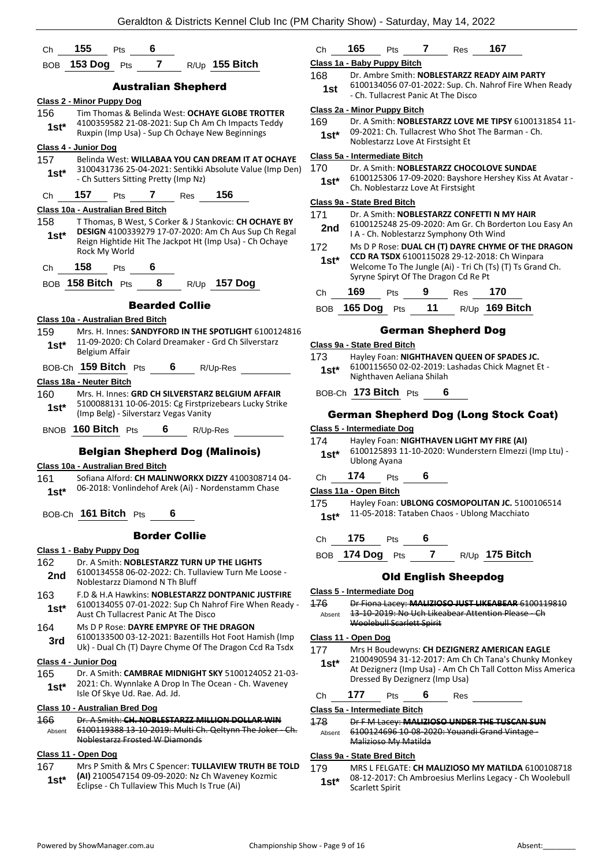| Ch                                          | 155<br>6<br>Pts                                                                                   | Сł                       |  |  |  |
|---------------------------------------------|---------------------------------------------------------------------------------------------------|--------------------------|--|--|--|
| BOB.                                        | $\overline{7}$<br>153 Dog<br>R/Up 155 Bitch<br>Pts                                                | Cla:                     |  |  |  |
|                                             | <b>Australian Shepherd</b>                                                                        | 168                      |  |  |  |
|                                             | <b>Class 2 - Minor Puppy Dog</b>                                                                  |                          |  |  |  |
| 156                                         | Tim Thomas & Belinda West: OCHAYE GLOBE TROTTER                                                   | Cla:                     |  |  |  |
| $1st*$                                      | 4100359582 21-08-2021: Sup Ch Am Ch Impacts Teddy                                                 | 169                      |  |  |  |
|                                             | Ruxpin (Imp Usa) - Sup Ch Ochaye New Beginnings                                                   |                          |  |  |  |
|                                             | Class 4 - Junior Dog                                                                              |                          |  |  |  |
| 157                                         | Belinda West: WILLABAA YOU CAN DREAM IT AT OCHAYE                                                 | Cla:                     |  |  |  |
| 1st*                                        | 3100431736 25-04-2021: Sentikki Absolute Value (Imp Den)                                          | 17(                      |  |  |  |
|                                             | - Ch Sutters Sitting Pretty (Imp Nz)                                                              |                          |  |  |  |
| Ch                                          | 157<br>156<br>7<br>Pts<br><b>Res</b>                                                              |                          |  |  |  |
|                                             | Class 10a - Australian Bred Bitch                                                                 | Clas                     |  |  |  |
| 158                                         | T Thomas, B West, S Corker & J Stankovic: CH OCHAYE BY                                            | 17'                      |  |  |  |
| $1st^*$                                     | DESIGN 4100339279 17-07-2020: Am Ch Aus Sup Ch Regal                                              | $\overline{\phantom{a}}$ |  |  |  |
|                                             | Reign Hightide Hit The Jackpot Ht (Imp Usa) - Ch Ochaye                                           | 172                      |  |  |  |
|                                             | Rock My World                                                                                     | 1                        |  |  |  |
| Ch                                          | 158<br>6<br><b>Pts</b>                                                                            |                          |  |  |  |
|                                             | 8<br>R/Up 157 Dog<br>BOB 158 Bitch $Pts$                                                          |                          |  |  |  |
|                                             |                                                                                                   | Cł                       |  |  |  |
|                                             | <b>Bearded Collie</b>                                                                             | B(                       |  |  |  |
|                                             | Class 10a - Australian Bred Bitch                                                                 |                          |  |  |  |
| 159                                         | Mrs. H. Innes: SANDYFORD IN THE SPOTLIGHT 6100124816                                              |                          |  |  |  |
| $1st*$                                      | 11-09-2020: Ch Colard Dreamaker - Grd Ch Silverstarz<br>Belgium Affair                            | <u>Cla</u>               |  |  |  |
|                                             |                                                                                                   | 173                      |  |  |  |
|                                             | BOB-Ch 159 Bitch Pts<br>6<br>R/Up-Res                                                             |                          |  |  |  |
|                                             | Class 18a - Neuter Bitch                                                                          |                          |  |  |  |
| 160                                         | Mrs. H. Innes: GRD CH SILVERSTARZ BELGIUM AFFAIR                                                  | B)                       |  |  |  |
| $1st*$                                      | 5100088131 10-06-2015: Cg Firstprizebears Lucky Strike<br>(Imp Belg) - Silverstarz Vegas Vanity   |                          |  |  |  |
| Cla:<br>BNOB 160 Bitch Pts<br>6<br>R/Up-Res |                                                                                                   |                          |  |  |  |
|                                             |                                                                                                   | 174                      |  |  |  |
|                                             | <b>Belgian Shepherd Dog (Malinois)</b>                                                            | 1                        |  |  |  |
|                                             | Class 10a - Australian Bred Bitch                                                                 |                          |  |  |  |
| 161                                         | Sofiana Alford: CH MALINWORKX DIZZY 4100308714 04-                                                | Сł                       |  |  |  |
| $1st*$                                      | 06-2018: Vonlindehof Arek (Ai) - Nordenstamm Chase                                                | Clas                     |  |  |  |
|                                             |                                                                                                   | 175                      |  |  |  |
|                                             | BOB-Ch 161 Bitch Pts<br>6                                                                         |                          |  |  |  |
|                                             | <b>Border Collie</b>                                                                              | Cł                       |  |  |  |
|                                             | Class 1 - Baby Puppy Dog                                                                          |                          |  |  |  |
| 162                                         | Dr. A Smith: NOBLESTARZZ TURN UP THE LIGHTS                                                       | B(                       |  |  |  |
| 2nd                                         | 6100134558 06-02-2022: Ch. Tullaview Turn Me Loose -                                              |                          |  |  |  |
|                                             | Noblestarzz Diamond N Th Bluff                                                                    |                          |  |  |  |
| 163                                         | F.D & H.A Hawkins: NOBLESTARZZ DONTPANIC JUSTFIRE                                                 | Cla:                     |  |  |  |
| 1st*                                        | 6100134055 07-01-2022: Sup Ch Nahrof Fire When Ready -                                            | 176                      |  |  |  |
|                                             | Aust Ch Tullacrest Panic At The Disco                                                             | Α                        |  |  |  |
| 164                                         | Ms D P Rose: DAYRE EMPYRE OF THE DRAGON<br>6100133500 03-12-2021: Bazentills Hot Foot Hamish (Imp |                          |  |  |  |
| 3rd                                         | Uk) - Dual Ch (T) Dayre Chyme Of The Dragon Ccd Ra Tsdx                                           | Cla:<br>177              |  |  |  |
|                                             | <u> Class 4 - Junior Dog</u>                                                                      |                          |  |  |  |
| 165                                         | Dr. A Smith: CAMBRAE MIDNIGHT SKY 5100124052 21-03-                                               |                          |  |  |  |
|                                             | 2021: Ch. Wynnlake A Drop In The Ocean - Ch. Waveney                                              |                          |  |  |  |
| 1st*                                        | Isle Of Skye Ud. Rae. Ad. Jd.                                                                     | Cł                       |  |  |  |
|                                             | <u> Class 10 - Australian Bred Doq</u>                                                            | Cla:                     |  |  |  |
| 166                                         | Dr. A Smith: CH. NOBLESTARZZ MILLION DOLLAR WIN                                                   | 178                      |  |  |  |
| Absent                                      | 6100119388 13 10 2019: Multi Ch. Qeltynn The Joker Ch.                                            | Α                        |  |  |  |
|                                             | Noblestarzz Frosted W Diamonds                                                                    |                          |  |  |  |
|                                             | <u> Class 11 - Open Dog</u>                                                                       | Cla:                     |  |  |  |
| 167                                         | Mrs P Smith & Mrs C Spencer: TULLAVIEW TRUTH BE TOLD                                              | 179                      |  |  |  |
| $4 - 4*$                                    | (AI) 2100547154 09-09-2020: Nz Ch Waveney Kozmic                                                  |                          |  |  |  |

Eclipse - Ch Tullaview This Much Is True (Ai) **1st\***

# Ch **165** Pts **7** Res **167**

#### **Class 1a - Baby Puppy Bitch**

- 168 Dr. Ambre Smith: **NOBLESTARZZ READY AIM PARTY**
- 6100134056 07-01-2022: Sup. Ch. Nahrof Fire When Ready 1st <sup>oldo134056</sup> 07-01-2022: sup. cn.<br>Ch. Tullacrest Panic At The Disco **-**

#### **Class 2a - Minor Puppy Bitch**

| 169    | Dr. A Smith: NOBLESTARZZ LOVE ME TIPSY 6100131854 11- |  |  |  |  |
|--------|-------------------------------------------------------|--|--|--|--|
| $1e+1$ | 09-2021: Ch. Tullacrest Who Shot The Barman - Ch.     |  |  |  |  |

**St 1988** Noblestarzz Love At Firstsight Et

#### **Class 5a - Intermediate Bitch**

| 170 | Dr. A Smith: NOBLESTARZZ CHOCOLOVE SUNDAE |
|-----|-------------------------------------------|
|-----|-------------------------------------------|

6100125306 17-09-2020: Bayshore Hershey Kiss At Avatar - **St\*** b100125306 17-09-2020: Bayshor<br>Ch. Noblestarzz Love At Firstsight

#### **Class 9a - State Bred Bitch**

| 171<br>2nd    |                | Dr. A Smith: NOBLESTARZZ CONFETTI N MY HAIR<br>6100125248 25-09-2020: Am Gr. Ch Borderton Lou Easy An<br>I A - Ch. Noblestarzz Symphony Oth Wind                                                         |      |                     |           |  |  |
|---------------|----------------|----------------------------------------------------------------------------------------------------------------------------------------------------------------------------------------------------------|------|---------------------|-----------|--|--|
| 172<br>$1st*$ |                | Ms D P Rose: DUAL CH (T) DAYRE CHYME OF THE DRAGON<br>CCD RA TSDX 6100115028 29-12-2018: Ch Winpara<br>Welcome To The Jungle (Ai) - Tri Ch (Ts) (T) Ts Grand Ch.<br>Syryne Spiryt Of The Dragon Cd Re Pt |      |                     |           |  |  |
| Сh            | 169            | Pts                                                                                                                                                                                                      |      | Res                 | 170       |  |  |
| <b>BOB</b>    | <b>165 Dog</b> | Pts                                                                                                                                                                                                      | - 11 | R/Up                | 169 Bitch |  |  |
|               |                |                                                                                                                                                                                                          |      | Carman Chanhard Dan |           |  |  |

#### German Shepherd Dog

#### **Class 9a - State Bred Bitch** 173 Hayley Foan: **NIGHTHAVEN QUEEN OF SPADES JC.** 6100115650 02-02-2019: Lashadas Chick Magnet Et -

**100115650 02-02-2019: 18t\* 100115650 02-02-2019** 

#### BOB-Ch **173 Bitch** Pts **6**

#### German Shepherd Dog (Long Stock Coat)

**Class 5 - Intermediate Dog**

174 Hayley Foan: **NIGHTHAVEN LIGHT MY FIRE (AI)** 6100125893 11-10-2020: Wunderstern Elmezzi (Imp Ltu) - Ublong Ayana **1st\***

#### Ch **174** Pts **6**

#### **Class 11a - Open Bitch**

#### Ch **175** Pts **6**

BOB **174 Dog** Pts **7** R/Up **175 Bitch**

#### Old English Sheepdog

#### **Class 5 - Intermediate Dog**

13-10-2019: No Uch Likeabear Attention Please - Ch bsent

#### **Class 11 - Open Dog**

#### 177 Mrs H Boudewyns: **CH DEZIGNERZ AMERICAN EAGLE**

2100490594 31-12-2017: Am Ch Ch Tana's Chunky Monkey At Dezignerz (Imp Usa) - Am Ch Ch Tall Cotton Miss America Dressed By Dezignerz (Imp Usa) **1st\***

Ch **177** Pts **6** Res

**Class 5a - Intermediate Bitch**

#### 178 Dr F M Lacey: **MALIZIOSO UNDER THE TUSCAN SUN** 6100124696 10-08-2020: Youandi Grand Vintage bsent

Malizioso My Matilda

#### **Class 9a - State Bred Bitch**

179 MRS L FELGATE: **CH MALIZIOSO MY MATILDA** 6100108718 08-12-2017: Ch Ambroesius Merlins Legacy - Ch Woolebull 1st<sup>\*</sup> U<sup>8-12-2017: C</sup><br>Scarlett Spirit

176 Dr Fiona Lacey: **MALIZIOSO JUST LIKEABEAR** 6100119810 Woolebull Scarlett Spirit

<sup>175</sup> Hayley Foan: **UBLONG COSMOPOLITAN JC.** 5100106514 st\* 11-05-2018: Tataben Chaos - Ublong Macchiato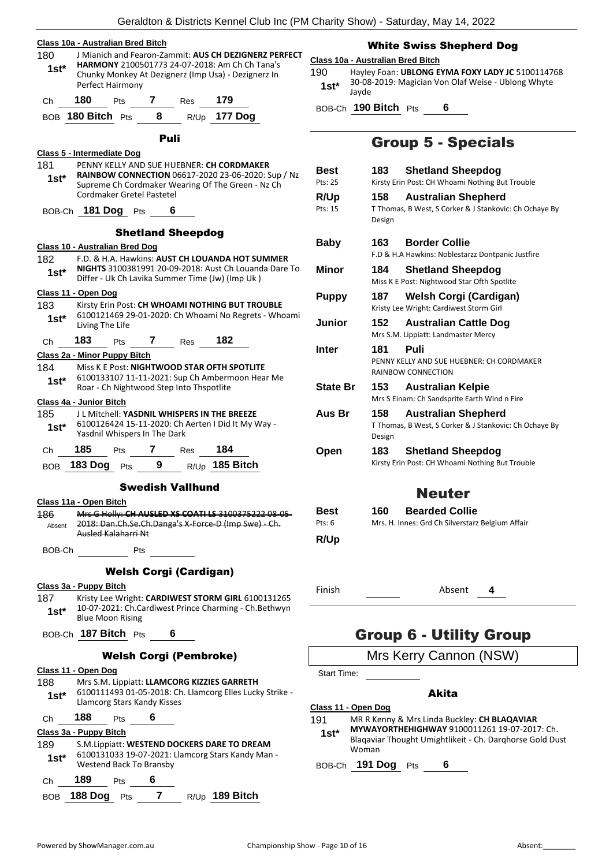|  | Class 10a - Australian Bred Bitch |  |
|--|-----------------------------------|--|
|  |                                   |  |

| 180    | J Mianich and Fearon-Zammit: AUS CH DEZIGNERZ PERFECT |
|--------|-------------------------------------------------------|
| $1st*$ | HARMONY 2100501773 24-07-2018: Am Ch Ch Tana's        |
|        | Chunky Monkey At Dezignerz (Imp Usa) - Dezignerz In   |
|        | Perfect Hairmony                                      |
|        |                                                       |

| Ch. | 180               | <b>Pts</b> | Res | 179            |
|-----|-------------------|------------|-----|----------------|
|     | BOB 180 Bitch Pts |            |     | $R/Up$ 177 Dog |

|                                |     | .                                        |                               |   |                                                    |                                                              |            |
|--------------------------------|-----|------------------------------------------|-------------------------------|---|----------------------------------------------------|--------------------------------------------------------------|------------|
|                                |     |                                          | Puli                          |   |                                                    |                                                              |            |
| Class 5 - Intermediate Dog     |     |                                          |                               |   |                                                    |                                                              |            |
| 181                            |     |                                          |                               |   | PENNY KELLY AND SUE HUEBNER: CH CORDMAKER          |                                                              | В          |
| $1st*$                         |     |                                          |                               |   |                                                    | RAINBOW CONNECTION 06617-2020 23-06-2020: Sup / Nz           | Pt         |
|                                |     | Cordmaker Gretel Pastetel                |                               |   |                                                    | Supreme Ch Cordmaker Wearing Of The Green - Nz Ch            |            |
|                                |     |                                          |                               |   |                                                    |                                                              | R          |
|                                |     | BOB-Ch 181 Dog Pts                       |                               | 6 |                                                    |                                                              | Pt         |
|                                |     |                                          | <b>Shetland Sheepdog</b>      |   |                                                    |                                                              |            |
| Class 10 - Australian Bred Dog |     |                                          |                               |   |                                                    |                                                              | В          |
| 182                            |     |                                          |                               |   |                                                    | F.D. & H.A. Hawkins: AUST CH LOUANDA HOT SUMMER              |            |
| $1st^*$                        |     |                                          |                               |   |                                                    | <b>NIGHTS</b> 3100381991 20-09-2018: Aust Ch Louanda Dare To | N          |
|                                |     |                                          |                               |   | Differ - Uk Ch Lavika Summer Time (Jw) (Imp Uk)    |                                                              |            |
| <u> Class 11 - Open Dog</u>    |     |                                          |                               |   |                                                    |                                                              | Ρ          |
| 183                            |     |                                          |                               |   |                                                    | Kirsty Erin Post: CH WHOAMI NOTHING BUT TROUBLE              |            |
| $1st*$                         |     | Living The Life                          |                               |   |                                                    | 6100121469 29-01-2020: Ch Whoami No Regrets - Whoami         | J          |
| Ch                             | 183 | <b>Pts</b>                               | 7 Res                         |   | - 182                                              |                                                              |            |
| Class 2a - Minor Puppy Bitch   |     |                                          |                               |   |                                                    |                                                              | Ir         |
| 184                            |     |                                          |                               |   | Miss K E Post: NIGHTWOOD STAR OFTH SPOTLITE        |                                                              |            |
| $1st*$                         |     |                                          |                               |   |                                                    | 6100133107 11-11-2021: Sup Ch Ambermoon Hear Me              |            |
|                                |     | Roar - Ch Nightwood Step Into Thspotlite |                               |   |                                                    |                                                              | S          |
| Class 4a - Junior Bitch        |     |                                          |                               |   |                                                    |                                                              |            |
| 185                            |     |                                          |                               |   | JL Mitchell: YASDNIL WHISPERS IN THE BREEZE        |                                                              | Α          |
| $1st^*$                        |     | Yasdnil Whispers In The Dark             |                               |   | 6100126424 15-11-2020: Ch Aerten I Did It My Way - |                                                              |            |
|                                |     |                                          |                               |   |                                                    |                                                              |            |
| Ch                             | 185 | Pts                                      | 7 Res 184                     |   |                                                    |                                                              | O          |
|                                |     |                                          |                               |   | BOB 183 Dog Pts 9 R/Up 185 Bitch                   |                                                              |            |
|                                |     |                                          | <b>Swedish Vallhund</b>       |   |                                                    |                                                              |            |
| <u> Class 11a - Open Bitch</u> |     |                                          |                               |   |                                                    |                                                              |            |
| 186                            |     |                                          |                               |   |                                                    | Mrs G Holly: CH AUSLED XS COATI LS 3100375222 08-05-         | В          |
| Absent                         |     |                                          |                               |   |                                                    | 2018: Dan.Ch.Se.Ch.Danga's X-Force-D (Imp Swe) - Ch.         | Pt         |
|                                |     | Ausled Kalaharri Nt                      |                               |   |                                                    |                                                              | R          |
| BOB-Ch                         |     |                                          | Pts                           |   |                                                    |                                                              |            |
|                                |     |                                          |                               |   |                                                    |                                                              |            |
|                                |     |                                          | <b>Welsh Corgi (Cardigan)</b> |   |                                                    |                                                              |            |
| Class 3a - Puppy Bitch         |     |                                          |                               |   |                                                    |                                                              | Fi         |
| 187                            |     |                                          |                               |   |                                                    | Kristy Lee Wright: CARDIWEST STORM GIRL 6100131265           |            |
| $1st^*$                        |     |                                          |                               |   |                                                    | 10-07-2021: Ch.Cardiwest Prince Charming - Ch.Bethwyn        |            |
|                                |     | <b>Blue Moon Rising</b>                  |                               |   |                                                    |                                                              |            |
| BOB-Ch                         |     | 187 Bitch Pts                            |                               | 6 |                                                    |                                                              |            |
|                                |     | <b>Welsh Corgi (Pembroke)</b>            |                               |   |                                                    |                                                              |            |
| Class 11 - Open Dog            |     |                                          |                               |   |                                                    |                                                              | S          |
| 188                            |     |                                          |                               |   | Mrs S.M. Lippiatt: LLAMCORG KIZZIES GARRETH        |                                                              |            |
| $1st*$                         |     |                                          |                               |   |                                                    | 6100111493 01-05-2018: Ch. Llamcorg Elles Lucky Strike -     |            |
|                                |     | Llamcorg Stars Kandy Kisses              |                               |   |                                                    |                                                              | <u>Cla</u> |
| Сh                             | 188 | Pts                                      | 6                             |   |                                                    |                                                              | 19         |

- 187 Kristy Lee Wright: **CARDIWEST STORM GIRL** 6100131265
- 

#### **Class 3a - Puppy Bitch**

189 S.M.Lippiatt: **WESTEND DOCKERS DARE TO DREAM** 6100131033 19-07-2021: Llamcorg Stars Kandy Man - Westend Back To Bransby **1st\***

| Ch 189              | <b>Pts</b> |  |                |
|---------------------|------------|--|----------------|
| BOB $188$ Dog Pts 7 |            |  | R/Up 189 Bitch |

#### White Swiss Shepherd Dog

#### **Class 10a - Australian Bred Bitch**

190 Hayley Foan: **UBLONG EYMA FOXY LADY JC** 5100114768 30-08-2019: Magician Von Olaf Weise - Ublong Whyte Jayde **1st\***

BOB-Ch **190 Bitch** Pts **6**

### Group 5 - Specials

| <b>Best</b><br>Pts: 25<br>R/Up<br>Pts: 15 | 183<br>158<br>Design | <b>Shetland Sheepdog</b><br>Kirsty Erin Post: CH Whoami Nothing But Trouble<br><b>Australian Shepherd</b><br>T Thomas, B West, S Corker & J Stankovic: Ch Ochaye By |
|-------------------------------------------|----------------------|---------------------------------------------------------------------------------------------------------------------------------------------------------------------|
| Baby                                      | 163.                 | <b>Border Collie</b><br>F.D & H.A Hawkins: Noblestarzz Dontpanic Justfire                                                                                           |
| Minor                                     | 184                  | <b>Shetland Sheepdog</b><br>Miss K E Post: Nightwood Star Ofth Spotlite                                                                                             |
| <b>Puppy</b>                              | 187                  | <b>Welsh Corgi (Cardigan)</b><br>Kristy Lee Wright: Cardiwest Storm Girl                                                                                            |
| Junior                                    | 152                  | <b>Australian Cattle Dog</b><br>Mrs S.M. Lippiatt: Landmaster Mercy                                                                                                 |
| Inter                                     | 181                  | Puli<br>PENNY KELLY AND SUE HUEBNER: CH CORDMAKER<br><b>RAINBOW CONNECTION</b>                                                                                      |
| <b>State Br</b>                           | 153.                 | <b>Australian Kelpie</b><br>Mrs S Einam: Ch Sandsprite Earth Wind n Fire                                                                                            |
| Aus Br                                    | 158<br>Design        | <b>Australian Shepherd</b><br>T Thomas, B West, S Corker & J Stankovic: Ch Ochaye By                                                                                |
| Open                                      | 183                  | <b>Shetland Sheepdog</b><br>Kirsty Erin Post: CH Whoami Nothing But Trouble                                                                                         |
|                                           |                      | Neuter                                                                                                                                                              |

| Best   | 160 | <b>Bearded Collie</b>                            |
|--------|-----|--------------------------------------------------|
| Pts: 6 |     | Mrs. H. Innes: Grd Ch Silverstarz Belgium Affair |
| R/Up   |     |                                                  |

Finish **4** Absent **4** 

### Group 6 - Utility Group

### Mrs Kerry Cannon (NSW)

Start Time:

#### Akita

- **Class 11 - Open Dog**
- 191 MR R Kenny & Mrs Linda Buckley: **CH BLAQAVIAR**
- **MYWAYORTHEHIGHWAY** 9100011261 19-07-2017: Ch. Blaqaviar Thought Umightlikeit - Ch. Darqhorse Gold Dust Woman **1st\***

BOB-Ch **191 Dog** Pts **6**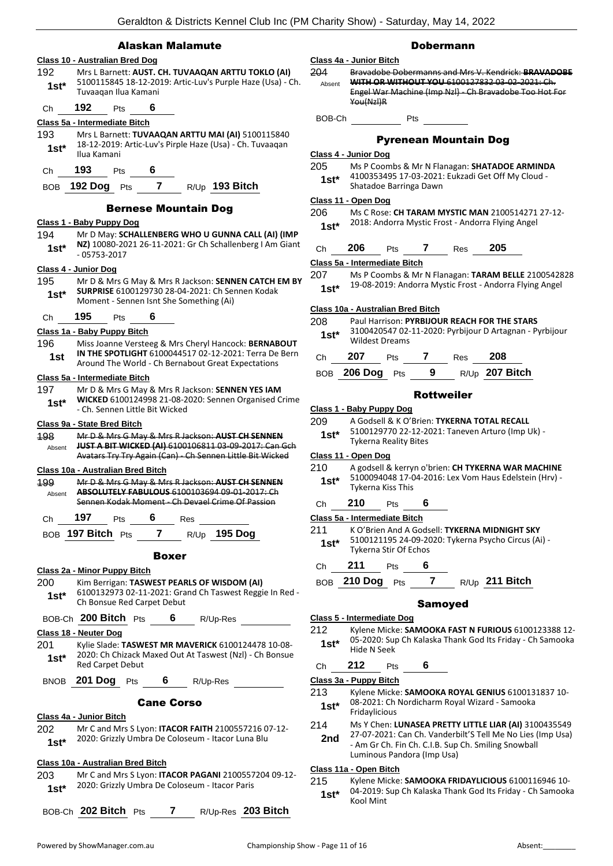#### Alaskan Malamute

#### **Class 10 - Australian Bred Dog** 192 Mrs L Barnett: **AUST. CH. TUVAAQAN ARTTU TOKLO (AI)** 5100115845 18-12-2019: Artic-Luv's Purple Haze (Usa) - Ch. Tuvaaqan Ilua Kamani **1st\*** Ch **192** Pts **6 Class 5a - Intermediate Bitch** 193 Mrs L Barnett: **TUVAAQAN ARTTU MAI (AI)** 5100115840 18-12-2019: Artic-Luv's Pirple Haze (Usa) - Ch. Tuvaaqan **1st**\* <sup>18-12-2019</sup><br>Ilua Kamani Ch **193** Pts **6** BOB **192 Dog** Pts **7** R/Up **193 Bitch** Bernese Mountain Dog **Class 1 - Baby Puppy Dog** 194 Mr D May: **SCHALLENBERG WHO U GUNNA CALL (AI) (IMP NZ)** 10080-2021 26-11-2021: Gr Ch Schallenberg I Am Giant 1st<sup>\*</sup> **N2J** 10080-20<br>05753-2017 **Class 4 - Junior Dog** 195 Mr D & Mrs G May & Mrs R Jackson: **SENNEN CATCH EM BY SURPRISE** 6100129730 28-04-2021: Ch Sennen Kodak **1st\* SURPRISE** 6100129730 28-04-2021: Ch Server Moment - Sennen Isnt She Something (Ai) Ch **195** Pts **6 Class 1a - Baby Puppy Bitch** 196 Miss Joanne Versteeg & Mrs Cheryl Hancock: **BERNABOUT IN THE SPOTLIGHT** 6100044517 02-12-2021: Terra De Bern **1st IN THE SPOTLIGHT 6100044517 02-12-2021: Terra De**<br>Around The World - Ch Bernabout Great Expectations **Class 5a - Intermediate Bitch** 197 Mr D & Mrs G May & Mrs R Jackson: **SENNEN YES IAM WICKED** 6100124998 21-08-2020: Sennen Organised Crime - Ch. Sennen Little Bit Wicked **1st\* Class 9a - State Bred Bitch** 198 Mr D & Mrs G May & Mrs R Jackson: **AUST CH SENNEN JUST A BIT WICKED (AI)** 6100106811 03-09-2017: Can Gch Avatars Try Try Again (Can) - Ch Sennen Little Bit Wicked Absent **Class 10a - Australian Bred Bitch** 199 Mr D & Mrs G May & Mrs R Jackson: **AUST CH SENNEN ABSOLUTELY FABULOUS** 6100103694 09-01-2017: Ch Sennen Kodak Moment - Ch Devael Crime Of Passion Absent Ch **197** Pts **6** Res BOB **197 Bitch** Pts **7** R/Up **195 Dog** Boxer **Class 2a - Minor Puppy Bitch** 200 Kim Berrigan: **TASWEST PEARLS OF WISDOM (AI)** 6100132973 02-11-2021: Grand Ch Taswest Reggie In Red - 1st<sup>\*</sup> DIUU132973 U2-11-2021: Gra<br>Ch Bonsue Red Carpet Debut BOB-Ch **200 Bitch** Pts **6** R/Up-Res **Class 18 - Neuter Dog** 201 Kylie Slade: **TASWEST MR MAVERICK** 6100124478 10-08- 2020: Ch Chizack Maxed Out At Taswest (Nzl) - Ch Bonsue **1st**\* <sup>2020: Ch Chizack r<br>Red Carpet Debut</sup> BNOB **201 Dog** Pts **6** R/Up-Res Cane Corso **Class 4a - Junior Bitch** 202 Mr C and Mrs S Lyon: **ITACOR FAITH** 2100557216 07-12- 2020: Grizzly Umbra De Coloseum - Itacor Luna Blu **1st\* Class 10a - Australian Bred Bitch** 203 Mr C and Mrs S Lyon: **ITACOR PAGANI** 2100557204 09-12- 2020: Grizzly Umbra De Coloseum - Itacor Paris **1st\*** BOB-Ch **202 Bitch** Pts **7** R/Up-Res **203 Bitch**

#### Dobermann

#### **Class 4a - Junior Bitch** 204 Bravadobe Dobermanns and Mrs V. Kendrick: **BRAVADOBE WITH OR WITHOUT YOU** 6100127832 03-02-2021: Ch. Engel War Machine (Imp Nzl} - Ch Bravadobe Too Hot For You(Nzl)R Absent BOB-Ch Pts

#### Pyrenean Mountain Dog

#### **Class 4 - Junior Dog**

- 205 Ms P Coombs & Mr N Flanagan: **SHATADOE ARMINDA** 4100353495 17-03-2021: Eukzadi Get Off My Cloud -
- Shatadoe Barringa Dawn **1st\***

#### **Class 11 - Open Dog**

206 Ms C Rose: **CH TARAM MYSTIC MAN** 2100514271 27-12- 2018: Andorra Mystic Frost - Andorra Flying Angel **1st\***

| Ch | 206 | Pts | Res | 205 |
|----|-----|-----|-----|-----|
|    |     |     |     |     |

**Class 5a - Intermediate Bitch**

207 Ms P Coombs & Mr N Flanagan: **TARAM BELLE** 2100542828 19-08-2019: Andorra Mystic Frost - Andorra Flying Angel **1st\***

#### **Class 10a - Australian Bred Bitch**

#### 208 Paul Harrison: **PYRBIJOUR REACH FOR THE STARS**

3100420547 02-11-2020: Pyrbijour D Artagnan - Pyrbijour Wildest Dreams **1st\***

| Ch | - 207           | <b>Pts</b> |     | Res | - 208            |
|----|-----------------|------------|-----|-----|------------------|
|    | BOB 206 Dog Pts |            | - 9 |     | $R/Up$ 207 Bitch |

#### Rottweiler

- **Class 1 - Baby Puppy Dog**
- 209 A Godsell & K O'Brien: **TYKERNA TOTAL RECALL**
	- 5100129770 22-12-2021: Taneven Arturo (Imp Uk) Tykerna Reality Bites **1st\***

#### **Class 11 - Open Dog**

210 A godsell & kerryn o'brien: **CH TYKERNA WAR MACHINE** 5100094048 17-04-2016: Lex Vom Haus Edelstein (Hrv) - Tykerna Kiss This **1st\***

#### Ch **210** Pts **6**

### **Class 5a - Intermediate Bitch**

```
211 K O'Brien And A Godsell: TYKERNA MIDNIGHT SKY
```
- 5100121195 24-09-2020: Tykerna Psycho Circus (Ai) Tykerna Stir Of Echos **1st\***
- Ch **211** Pts **6**
- BOB **210 Dog** Pts **7** R/Up **211 Bitch**

#### Samoyed

#### **Class 5 - Intermediate Dog**

- 212 Kylene Micke: **SAMOOKA FAST N FURIOUS** 6100123388 12- 05-2020: Sup Ch Kalaska Thank God Its Friday - Ch Samooka 1st<sup>\*</sup> U<sub>D</sub>-2020: Sup
- Ch **212** Pts **6**

**Class 3a - Puppy Bitch**

- 213 Kylene Micke: **SAMOOKA ROYAL GENIUS** 6100131837 10- 08-2021: Ch Nordicharm Royal Wizard - Samooka
- 1st<sup>\*</sup> U<sub>8</sub>-2021: Ch<br>Fridaylicious
- 214 Ms Y Chen: **LUNASEA PRETTY LITTLE LIAR (AI)** 3100435549
	- 27-07-2021: Can Ch. Vanderbilt'S Tell Me No Lies (Imp Usa) - Am Gr Ch. Fin Ch. C.I.B. Sup Ch. Smiling Snowball Luminous Pandora (Imp Usa) **2nd**

#### **Class 11a - Open Bitch**

215 Kylene Micke: **SAMOOKA FRIDAYLICIOUS** 6100116946 10- 04-2019: Sup Ch Kalaska Thank God Its Friday - Ch Samooka **1st**\*  $\frac{04-2019}{15}$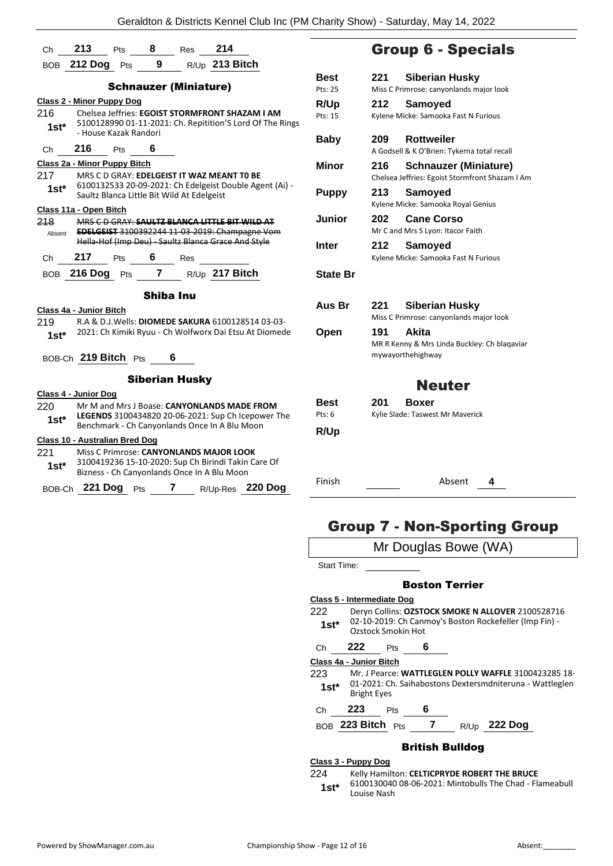|         | Ch 213 Pts 8 Res 214                                                                                |  |
|---------|-----------------------------------------------------------------------------------------------------|--|
|         | BOB 212 Dog Pts 9 R/Up 213 Bitch                                                                    |  |
|         |                                                                                                     |  |
|         | <b>Schnauzer (Miniature)</b>                                                                        |  |
|         | <b>Class 2 - Minor Puppy Dog</b>                                                                    |  |
| 216     | Chelsea Jeffries: EGOIST STORMFRONT SHAZAM I AM                                                     |  |
| 1st*    | 5100128990 01-11-2021: Ch. Repitition'S Lord Of The Rings<br>- House Kazak Randori                  |  |
|         | Ch 216 Pts 6                                                                                        |  |
|         | Class 2a - Minor Puppy Bitch                                                                        |  |
| 217     | MRS C D GRAY: EDELGEIST IT WAZ MEANT TO BE                                                          |  |
| $1st^*$ | 6100132533 20-09-2021: Ch Edelgeist Double Agent (Ai) -                                             |  |
|         | Saultz Blanca Little Bit Wild At Edelgeist                                                          |  |
|         | Class 11a - Open Bitch                                                                              |  |
| 218     | MRS C D GRAY: SAULTZ BLANCA LITTLE BIT WILD AT                                                      |  |
| Absent  | EDELGEIST 3100392244 11 03 2019: Champagne Vom<br>Hella Hof (Imp Deu) Saultz Blanca Grace And Style |  |
|         |                                                                                                     |  |
|         | Ch 217 Pts 6 Res                                                                                    |  |
|         | BOB 216 Dog Pts 7 R/Up 217 Bitch                                                                    |  |
|         | Shiba Inu                                                                                           |  |
|         | Class 4a - Junior Bitch                                                                             |  |
| 219     | R.A & D.J. Wells: DIOMEDE SAKURA 6100128514 03-03-                                                  |  |
| $1st^*$ | 2021: Ch Kimiki Ryuu - Ch Wolfworx Dai Etsu At Diomede                                              |  |
|         |                                                                                                     |  |
|         | BOB-Ch 219 Bitch Pts 6                                                                              |  |
|         | <b>Siberian Husky</b>                                                                               |  |
|         | Class 4 - Junior Dog                                                                                |  |
| 220 -   | Mr M and Mrs J Boase: CANYONLANDS MADE FROM                                                         |  |
| $1st^*$ | LEGENDS 3100434820 20-06-2021: Sup Ch Icepower The                                                  |  |
|         | Benchmark - Ch Canyonlands Once In A Blu Moon                                                       |  |
|         | Class 10 - Australian Bred Dog                                                                      |  |
| 221     | Miss C Primrose: CANYONLANDS MAJOR LOOK<br>3100419236 15-10-2020: Sup Ch Birindi Takin Care Of      |  |
| 1st*    | Bizness - Ch Canyonlands Once In A Blu Moon                                                         |  |
|         | Pts 7 R/Up-Res 220 Dog<br>BOB-Ch 221 Dog                                                            |  |
|         |                                                                                                     |  |

|  | <b>Group 6 - Specials</b> |
|--|---------------------------|
|  |                           |

| Pts: 25<br><b>R/Up</b><br>Pts: 15 | 212 | Miss C Primrose: canyonlands major look         |
|-----------------------------------|-----|-------------------------------------------------|
|                                   |     |                                                 |
|                                   |     | Samoyed                                         |
|                                   |     | Kylene Micke: Samooka Fast N Furious            |
| Baby                              | 209 | <b>Rottweiler</b>                               |
|                                   |     | A Godsell & K O'Brien: Tykerna total recall     |
| <b>Minor</b>                      | 216 | <b>Schnauzer (Miniature)</b>                    |
|                                   |     | Chelsea Jeffries: Egoist Stormfront Shazam I Am |
| <b>Puppy</b>                      | 213 | Samoyed                                         |
|                                   |     | Kylene Micke: Samooka Royal Genius              |
| Junior                            | 202 | <b>Cane Corso</b>                               |
|                                   |     | Mr C and Mrs S Lyon: Itacor Faith               |
| <b>Inter</b>                      | 212 | Samoyed                                         |
|                                   |     | Kylene Micke: Samooka Fast N Furious            |
| <b>State Br</b>                   |     |                                                 |
| Aus Br                            | 221 | <b>Siberian Husky</b>                           |
|                                   |     | Miss C Primrose: canyonlands major look         |
| Open                              | 191 | <b>Akita</b>                                    |
|                                   |     | MR R Kenny & Mrs Linda Buckley: Ch blagaviar    |
|                                   |     | mywayorthehighway                               |
|                                   |     | <b>Neuter</b>                                   |
| Best                              | 201 | <b>Boxer</b>                                    |
| Pts: 6                            |     | Kylie Slade: Taswest Mr Maverick                |
|                                   |     |                                                 |
| R/Up                              |     |                                                 |

Finish Absent **4**

## Group 7 - Non-Sporting Group

| Mr Douglas Bowe (WA)                               |                                                                                                                                   |  |  |  |
|----------------------------------------------------|-----------------------------------------------------------------------------------------------------------------------------------|--|--|--|
| Start Time:                                        |                                                                                                                                   |  |  |  |
| <b>Boston Terrier</b>                              |                                                                                                                                   |  |  |  |
| Class 5 - Intermediate Dog                         |                                                                                                                                   |  |  |  |
| 222<br>$1st^*$                                     | Deryn Collins: OZSTOCK SMOKE N ALLOVER 2100528716<br>02-10-2019: Ch Canmoy's Boston Rockefeller (Imp Fin) -<br>Ozstock Smokin Hot |  |  |  |
| Ch                                                 | 222<br>6<br><b>Pts</b>                                                                                                            |  |  |  |
|                                                    | Class 4a - Junior Bitch                                                                                                           |  |  |  |
| 223.                                               | Mr. J Pearce: WATTLEGLEN POLLY WAFFLE 3100423285 18-                                                                              |  |  |  |
| 1st*                                               | 01-2021: Ch. Saihabostons Dextersmdniteruna - Wattleglen<br><b>Bright Eyes</b>                                                    |  |  |  |
| Ch                                                 | 223<br>6<br>Pts                                                                                                                   |  |  |  |
| BOB 223 Bitch Pts<br>$7^{\circ}$<br>$R/Up$ 222 Dog |                                                                                                                                   |  |  |  |
| British Bulldog                                    |                                                                                                                                   |  |  |  |
| Class 3 - Puppy Dog                                |                                                                                                                                   |  |  |  |
| 224                                                | Kelly Hamilton: CELTICPRYDE ROBERT THE BRUCE                                                                                      |  |  |  |

6100130040 08-06-2021: Mintobulls The Chad - Flameabull **1st**\* 6100130040<br>
Louise Nash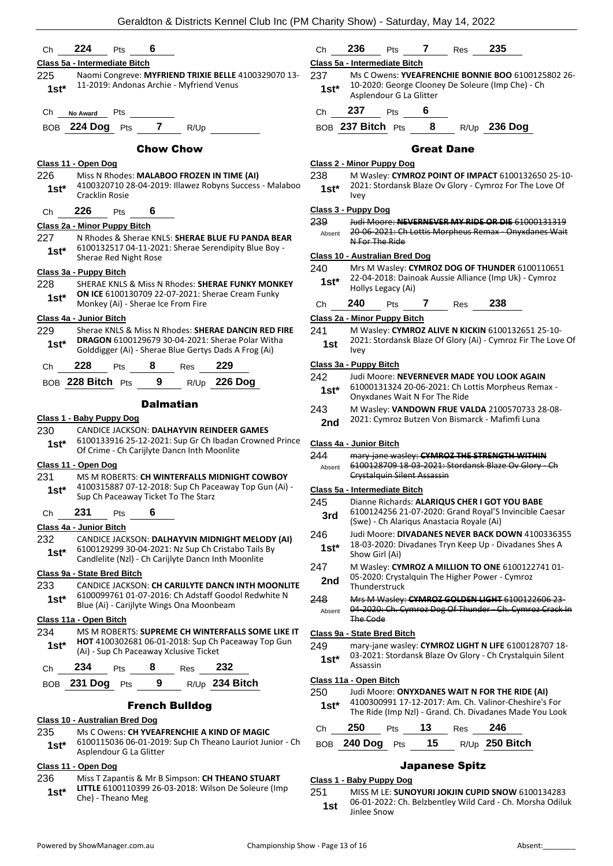| 224<br>6<br>Ch<br>Pts                                                                                                                                | 235<br>236<br>7<br>Ch<br>Pts<br>Res                                                                                                                                                 |
|------------------------------------------------------------------------------------------------------------------------------------------------------|-------------------------------------------------------------------------------------------------------------------------------------------------------------------------------------|
| Class 5a - Intermediate Bitch                                                                                                                        | Class 5a - Intermediate Bitch                                                                                                                                                       |
| 225<br>Naomi Congreve: MYFRIEND TRIXIE BELLE 4100329070 13-<br>11-2019: Andonas Archie - Myfriend Venus<br>$1st*$                                    | 237<br>Ms C Owens: YVEAFRENCHIE BONNIE BOO 6100125802 26-<br>10-2020: George Clooney De Soleure (Imp Che) - Ch<br>$1st*$<br>Asplendour G La Glitter                                 |
| Pts<br>Ch<br>No Award                                                                                                                                | 237<br>6<br>Pts<br>Ch                                                                                                                                                               |
| BOB 224 Dog Pts 7<br>R/Up                                                                                                                            | 8<br>R/Up 236 Dog<br>BOB 237 Bitch Pts                                                                                                                                              |
| <b>Chow Chow</b>                                                                                                                                     | <b>Great Dane</b>                                                                                                                                                                   |
| Class 11 - Open Dog                                                                                                                                  | <b>Class 2 - Minor Puppy Dog</b>                                                                                                                                                    |
| 226<br>Miss N Rhodes: MALABOO FROZEN IN TIME (AI)<br>4100320710 28-04-2019: Illawez Robyns Success - Malaboo<br>$1st^*$<br>Cracklin Rosie            | 238<br>M Wasley: CYMROZ POINT OF IMPACT 6100132650 25-10-<br>2021: Stordansk Blaze Ov Glory - Cymroz For The Love Of<br>$1st^*$<br><b>Ivey</b>                                      |
| 226<br>6<br>Pts<br>Ch                                                                                                                                | Class 3 - Puppy Dog                                                                                                                                                                 |
| Class 2a - Minor Puppy Bitch                                                                                                                         | 239<br>Judi Moore: NEVERNEVER MY RIDE OR DIE 61000131319<br>20 06 2021: Ch Lottis Morpheus Remax Onyxdanes Wait<br>Absent                                                           |
| N Rhodes & Sherae KNLS: SHERAE BLUE FU PANDA BEAR<br>227<br>6100132517 04-11-2021: Sherae Serendipity Blue Boy -                                     | N For The Ride                                                                                                                                                                      |
| $1st*$<br>Sherae Red Night Rose                                                                                                                      | Class 10 - Australian Bred Dog                                                                                                                                                      |
| Class 3a - Puppy Bitch                                                                                                                               | 240<br>Mrs M Wasley: CYMROZ DOG OF THUNDER 6100110651                                                                                                                               |
| 228<br>SHERAE KNLS & Miss N Rhodes: SHERAE FUNKY MONKEY                                                                                              | 22-04-2018: Dainoak Aussie Alliance (Imp Uk) - Cymroz<br>$1st*$<br>Hollys Legacy (Ai)                                                                                               |
| ON ICE 6100130709 22-07-2021: Sherae Cream Funky<br>$1st*$<br>Monkey (Ai) - Sherae Ice From Fire                                                     | 240<br>238<br>7<br>Res<br>Ch<br>Pts                                                                                                                                                 |
| Class 4a - Junior Bitch                                                                                                                              | Class 2a - Minor Puppy Bitch                                                                                                                                                        |
| 229<br>Sherae KNLS & Miss N Rhodes: SHERAE DANCIN RED FIRE                                                                                           | 241<br>M Wasley: CYMROZ ALIVE N KICKIN 6100132651 25-10-                                                                                                                            |
| DRAGON 6100129679 30-04-2021: Sherae Polar Witha<br>$1st*$<br>Golddigger (Ai) - Sherae Blue Gertys Dads A Frog (Ai)                                  | 2021: Stordansk Blaze Of Glory (Ai) - Cymroz Fir The Love Of<br>1st<br>Ivey                                                                                                         |
| 228<br>229<br>8<br>Pts<br>Ch<br>Res                                                                                                                  | Class 3a - Puppy Bitch                                                                                                                                                              |
| BOB 228 Bitch Pts<br>9<br>R/Up 226 Dog                                                                                                               | 242<br>Judi Moore: NEVERNEVER MADE YOU LOOK AGAIN<br>61000131324 20-06-2021: Ch Lottis Morpheus Remax -<br>$1st*$                                                                   |
| <b>Dalmatian</b>                                                                                                                                     | Onyxdanes Wait N For The Ride<br>243<br>M Wasley: VANDOWN FRUE VALDA 2100570733 28-08-                                                                                              |
| Class 1 - Baby Puppy Dog                                                                                                                             | 2021: Cymroz Butzen Von Bismarck - Mafimfi Luna<br>2nd                                                                                                                              |
| CANDICE JACKSON: DALHAYVIN REINDEER GAMES<br>230                                                                                                     |                                                                                                                                                                                     |
| 6100133916 25-12-2021: Sup Gr Ch Ibadan Crowned Prince<br>$1st*$<br>Of Crime - Ch Carijlyte Dancn Inth Moonlite                                      | Class 4a - Junior Bitch                                                                                                                                                             |
| Class 11 - Open Dog                                                                                                                                  | 244<br>mary-jane wasley: CYMROZ THE STRENGTH WITHIN<br>6100128709 18-03-2021: Stordansk Blaze Ov Glory - Ch<br>Absent                                                               |
| 231<br>MS M ROBERTS: CH WINTERFALLS MIDNIGHT COWBOY                                                                                                  | <b>Crystalguin Silent Assassin</b>                                                                                                                                                  |
| 4100315887 07-12-2018: Sup Ch Paceaway Top Gun (Ai) -<br>$1st*$                                                                                      | Class 5a - Intermediate Bitch                                                                                                                                                       |
| Sup Ch Paceaway Ticket To The Starz                                                                                                                  | 245<br>Dianne Richards: ALARIQUS CHER I GOT YOU BABE                                                                                                                                |
| 231<br>6<br>Pts<br>Ch                                                                                                                                | 6100124256 21-07-2020: Grand Royal'S Invincible Caesar<br>3rd<br>(Swe) - Ch Alarigus Anastacia Royale (Ai)                                                                          |
| Class 4a - Junior Bitch                                                                                                                              | 246<br>Judi Moore: DIVADANES NEVER BACK DOWN 4100336355                                                                                                                             |
| 232<br>CANDICE JACKSON: DALHAYVIN MIDNIGHT MELODY (AI)<br>6100129299 30-04-2021: Nz Sup Ch Cristabo Tails By                                         | 18-03-2020: Divadanes Tryn Keep Up - Divadanes Shes A<br>$1st*$                                                                                                                     |
| $1st^*$<br>Candlelite (Nzl) - Ch Carijlyte Dancn Inth Moonlite                                                                                       | Show Girl (Ai)                                                                                                                                                                      |
| Class 9a - State Bred Bitch                                                                                                                          | 247<br>M Wasley: CYMROZ A MILLION TO ONE 6100122741 01-<br>05-2020: Crystalquin The Higher Power - Cymroz                                                                           |
| 233<br>CANDICE JACKSON: CH CARIJLYTE DANCN INTH MOONLITE                                                                                             | 2nd<br>Thunderstruck                                                                                                                                                                |
| 6100099761 01-07-2016: Ch Adstaff Goodol Redwhite N<br>$1st^*$<br>Blue (Ai) - Carijlyte Wings Ona Moonbeam                                           | Mrs M Wasley: CYMROZ GOLDEN LIGHT 6100122606 23-<br>248<br>04-2020: Ch. Cymroz Dog Of Thunder - Ch. Cymroz Crack In<br>Absent                                                       |
| Class 11a - Open Bitch                                                                                                                               | The Code                                                                                                                                                                            |
| 234<br>MS M ROBERTS: SUPREME CH WINTERFALLS SOME LIKE IT<br>HOT 4100302681 06-01-2018: Sup Ch Paceaway Top Gun                                       | Class 9a - State Bred Bitch                                                                                                                                                         |
| $1st^*$<br>(Ai) - Sup Ch Paceaway Xclusive Ticket                                                                                                    | 249<br>mary-jane wasley: CYMROZ LIGHT N LIFE 6100128707 18-<br>03-2021: Stordansk Blaze Ov Glory - Ch Crystalquin Silent<br>$1st*$                                                  |
| 232<br>234<br>8<br>Pts<br>Res<br>Ch                                                                                                                  | Assassin                                                                                                                                                                            |
| 9<br>R/Up 234 Bitch<br>231 Dog $Pts$<br><b>BOB</b>                                                                                                   | Class 11a - Open Bitch                                                                                                                                                              |
| <b>French Bulldog</b>                                                                                                                                | 250<br>Judi Moore: ONYXDANES WAIT N FOR THE RIDE (AI)<br>4100300991 17-12-2017: Am. Ch. Valinor-Cheshire's For<br>$1st*$<br>The Ride (Imp Nzl) - Grand. Ch. Divadanes Made You Look |
| Class 10 - Australian Bred Dog                                                                                                                       | 250<br>13<br>246                                                                                                                                                                    |
| Ms C Owens: CH YVEAFRENCHIE A KIND OF MAGIC<br>235<br>6100115036 06-01-2019: Sup Ch Theano Lauriot Junior - Ch<br>$1st^*$<br>Asplendour G La Glitter | Pts<br>Ch<br>Res<br>15<br>BOB 240 Dog Pts<br>R/Up 250 Bitch                                                                                                                         |
|                                                                                                                                                      |                                                                                                                                                                                     |
| Class 11 - Open Dog                                                                                                                                  | <b>Japanese Spitz</b>                                                                                                                                                               |

#### **Class 1 - Baby Puppy Dog**

251 MISS M LE: **SUNOYURI JOKJIN CUPID SNOW** 6100134283 06-01-2022: Ch. Belzbentley Wild Card - Ch. Morsha Odiluk **1st** <sup>06-01-2022:<br>Jinlee Snow</sup>

**1st\*** LITTLE 6100110399<br>Che) - Theano Meg

236 Miss T Zapantis & Mr B Simpson: **CH THEANO STUART** 

**LITTLE** 6100110399 26-03-2018: Wilson De Soleure (Imp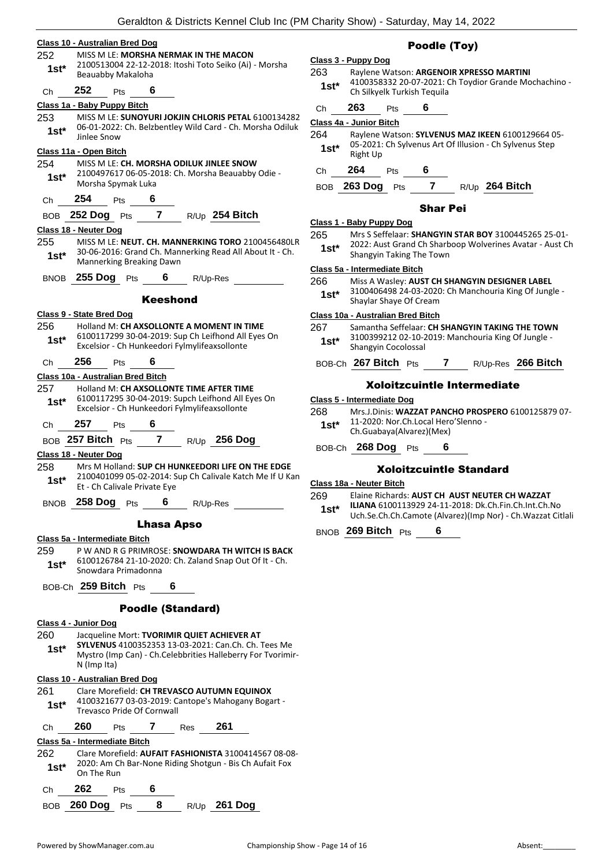|             | Geraldton & Districts Kennel Club Inc (P)                                                                             |
|-------------|-----------------------------------------------------------------------------------------------------------------------|
|             | Class 10 - Australian Bred Dog                                                                                        |
| 252<br>1st* | MISS M I F: MORSHA NERMAK IN THE MACON<br>2100513004 22-12-2018: Itoshi Toto Seiko (Ai) - Morsha<br>Beauabby Makaloha |
| Ch          | 252<br>6<br>Pts                                                                                                       |
|             | Class 1a - Baby Puppy Bitch                                                                                           |
| 253         | MISS M LE: SUNOYURI JOKJIN CHLORIS PETAL 6100134282                                                                   |
| $1st^*$     | 06-01-2022: Ch. Belzbentley Wild Card - Ch. Morsha Odiluk<br>Jinlee Snow                                              |
|             | <u>Class 11a - Open Bitch</u>                                                                                         |
| 254         | MISS M LE: CH. MORSHA ODILUK JINLEE SNOW                                                                              |
| $1st^*$     | 2100497617 06-05-2018: Ch. Morsha Beauabby Odie -<br>Morsha Spymak Luka                                               |
| Ch          | 254<br>6<br>Pts                                                                                                       |
|             | $\overline{7}$<br>BOB 252 Dog Pts<br>R/Up 254 Bitch                                                                   |
|             | Class 18 - Neuter Dog                                                                                                 |
| 255         | MISS M LE: NEUT. CH. MANNERKING TORO 2100456480LR                                                                     |
| 1st*        | 30-06-2016: Grand Ch. Mannerking Read All About It - Ch.<br>Mannerking Breaking Dawn                                  |
|             | BNOB 255 Dog Pts<br>6.<br>R/Up-Res                                                                                    |
|             | Keeshond                                                                                                              |

#### **Class 9 - State Bred Dog**

256 Holland M: **CH AXSOLLONTE A MOMENT IN TIME** 6100117299 30-04-2019: Sup Ch Leifhond All Eyes On Excelsior - Ch Hunkeedori Fylmylifeaxsollonte **1st\***

### Ch **256** Pts **6**

**Class 10a - Australian Bred Bitch** 257 Holland M: **CH AXSOLLONTE TIME AFTER TIME** 6100117295 30-04-2019: Supch Leifhond All Eyes On Excelsior - Ch Hunkeedori Fylmylifeaxsollonte **1st\***

Ch **257** Pts **6**

BOB **257 Bitch** Pts **7** R/Up **256 Dog**

**Class 18 - Neuter D** 

258 Mrs M Holland: **SUP CH HUNKEEDORI LIFE ON THE EDGE** 2100401099 05-02-2014: Sup Ch Calivale Katch Me If U Kan Et - Ch Calivale Private Eye **1st\***

BNOB **258 Dog** Pts **6** R/Up-Res

#### Lhasa Apso

**Class 5a - Intermediate Bitch**

259 P W AND R G PRIMROSE: **SNOWDARA TH WITCH IS BACK** 6100126784 21-10-2020: Ch. Zaland Snap Out Of It - Ch. Snowdara Primadonna **1st\***

BOB-Ch **259 Bitch** Pts **6**

#### Poodle (Standard)

#### **Class 4 - Junior Dog**

260 Jacqueline Mort: **TVORIMIR QUIET ACHIEVER AT SYLVENUS** 4100352353 13-03-2021: Can.Ch. Ch. Tees Me Mystro (Imp Can) - Ch.Celebbrities Halleberry For Tvorimir-N (Imp Ita) **1st\***

#### **Class 10 - Australian Bred Dog**

261 Clare Morefield: **CH TREVASCO AUTUMN EQUINOX** 4100321677 03-03-2019: Cantope's Mahogany Bogart - Trevasco Pride Of Cornwall **1st\*** Ch **260** Pts **7** Res **261 Class 5a - Intermediate Bitch** 262 Clare Morefield: **AUFAIT FASHIONISTA** 3100414567 08-08- 2020: Am Ch Bar-None Riding Shotgun - Bis Ch Aufait Fox **1st**\* <sup>2020</sup> 1st<sup>\*</sup> On The Run

| Ch $262$ Pts          |  |                |
|-----------------------|--|----------------|
| BOB $260$ Dog $Pts$ 8 |  | $R/Up$ 261 Dog |

#### Poodle (Toy)

### **Class 3 - Puppy Dog** 263 Raylene Watson: **ARGENOIR XPRESSO MARTINI**

- 4100358332 20-07-2021: Ch Toydior Grande Mochachino 1st<sup>\*</sup> 4100358332 20-07-2021: Ch Silkyelk Turkish Tequila
- Ch **263** Pts **6**

#### **Class 4a - Junior Bitch**

264 Raylene Watson: **SYLVENUS MAZ IKEEN** 6100129664 05- 05-2021: Ch Sylvenus Art Of Illusion - Ch Sylvenus Step **1st**\* U<sub>p</sub>-2021<br>Right Up

Ch **264** Pts **6**

#### BOB **263 Dog** Pts **7** R/Up **264 Bitch**

#### Shar Pei

#### **Class 1 - Baby Puppy Dog**

265 Mrs S Seffelaar: **SHANGYIN STAR BOY** 3100445265 25-01- 2022: Aust Grand Ch Sharboop Wolverines Avatar - Aust Ch **1st**\* <sup>2022: Aust Grand Ch Sharp<br>Shangyin Taking The Town</sup>

#### **Class 5a - Intermediate Bitch**

- 266 Miss A Wasley: **AUST CH SHANGYIN DESIGNER LABEL**
	- 3100406498 24-03-2020: Ch Manchouria King Of Jungle Shaylar Shaye Of Cream **1st\***

#### **Class 10a - Australian Bred Bitch**

- 267 Samantha Seffelaar: **CH SHANGYIN TAKING THE TOWN**
- 3100399212 02-10-2019: Manchouria King Of Jungle Shangyin Cocolossal **1st\***
- BOB-Ch **267 Bitch** Pts **7** R/Up-Res **266 Bitch**

#### Xoloitzcuintle Intermediate

#### **Class 5 - Intermediate Dog**

- 268 Mrs.J.Dinis: **WAZZAT PANCHO PROSPERO** 6100125879 07-
- 11-2020: Nor.Ch.Local Hero'Slenno Ch.Guabaya(Alvarez)(Mex) **1st\***
- 

BOB-Ch **268 Dog** Pts **6**

#### Xoloitzcuintle Standard

**Class 18a - Neuter Bitch**

269 Elaine Richards: **AUST CH AUST NEUTER CH WAZZAT ILIANA** 6100113929 24-11-2018: Dk.Ch.Fin.Ch.Int.Ch.No Uch.Se.Ch.Ch.Camote (Alvarez)(Imp Nor) - Ch.Wazzat Citlali **1st\***

BNOB **269 Bitch** Pts **6**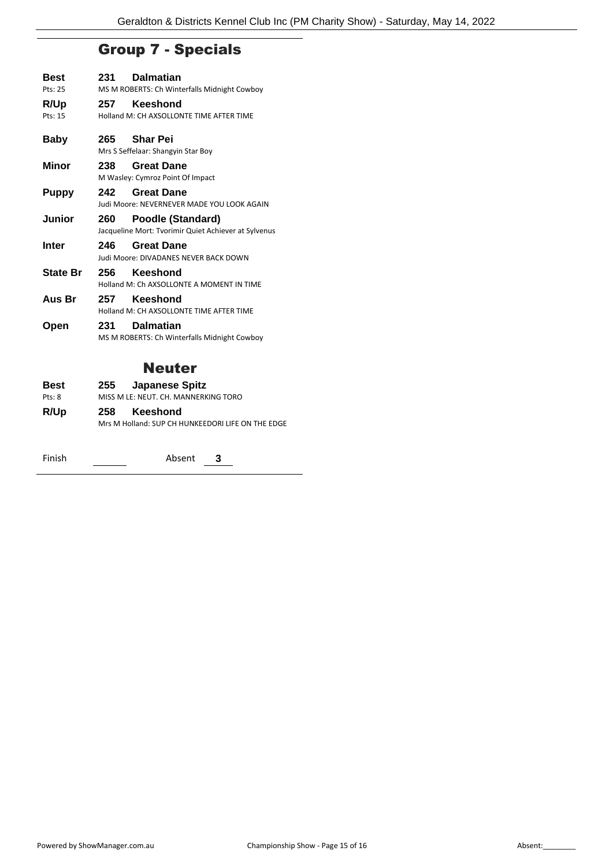### Group 7 - Specials

| Best<br>Pts: 25 | 231 | <b>Dalmatian</b><br>MS M ROBERTS: Ch Winterfalls Midnight Cowboy          |
|-----------------|-----|---------------------------------------------------------------------------|
| R/Up<br>Pts: 15 | 257 | Keeshond<br>Holland M: CH AXSOLLONTE TIME AFTER TIME                      |
| <b>Baby</b>     |     | 265 Shar Pei<br>Mrs S Seffelaar: Shangyin Star Boy                        |
| Minor           | 238 | <b>Great Dane</b><br>M Wasley: Cymroz Point Of Impact                     |
| Puppy           | 242 | <b>Great Dane</b><br>Judi Moore: NEVERNEVER MADE YOU LOOK AGAIN           |
| Junior          | 260 | Poodle (Standard)<br>Jacqueline Mort: Tvorimir Quiet Achiever at Sylvenus |
| Inter           | 246 | <b>Great Dane</b><br>Judi Moore: DIVADANES NEVER BACK DOWN                |
| <b>State Br</b> | 256 | Keeshond<br>Holland M: Ch AXSOLLONTE A MOMENT IN TIME                     |
| Aus Br          | 257 | Keeshond<br>Holland M: CH AXSOLLONTE TIME AFTER TIME                      |
| Open            | 231 | <b>Dalmatian</b><br>MS M ROBERTS: Ch Winterfalls Midnight Cowboy          |
|                 |     | <b>Neuter</b>                                                             |
| Best<br>Pts: 8  | 255 | <b>Japanese Spitz</b><br>MISS M LE: NEUT. CH. MANNERKING TORO             |
| R/Up            | 258 | Keeshond                                                                  |

| Mrs M Holland: SUP CH HUNKEEDORI LIFE ON THE EDGE |  |
|---------------------------------------------------|--|
|                                                   |  |

Finish **Absent 3**